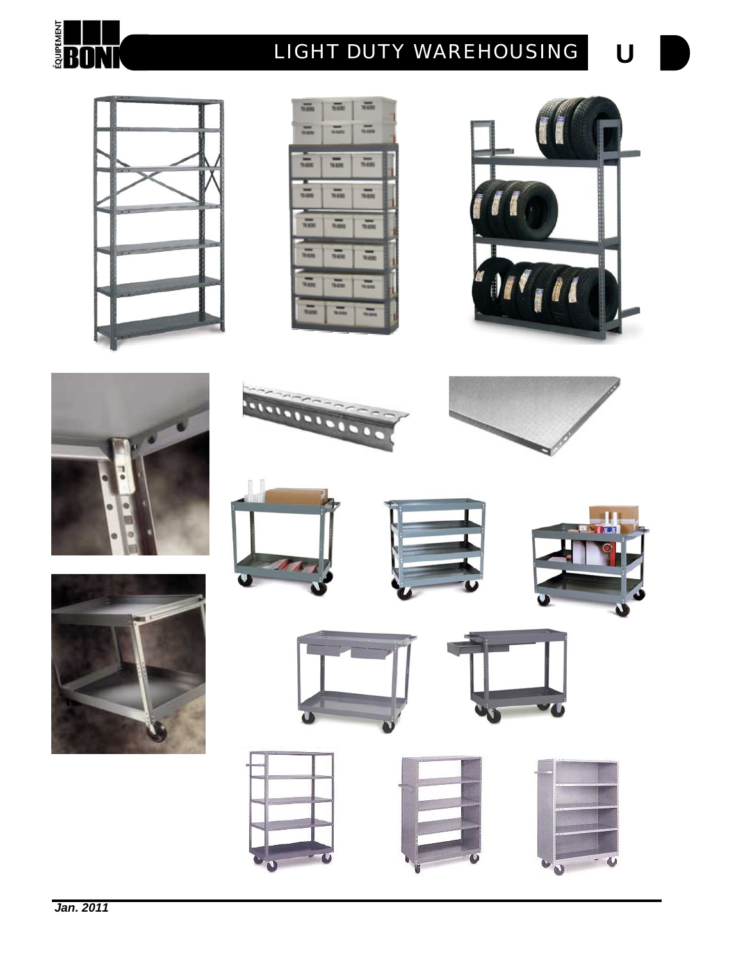

# **U** *LIGHT DUTY WAREHOUSING*



























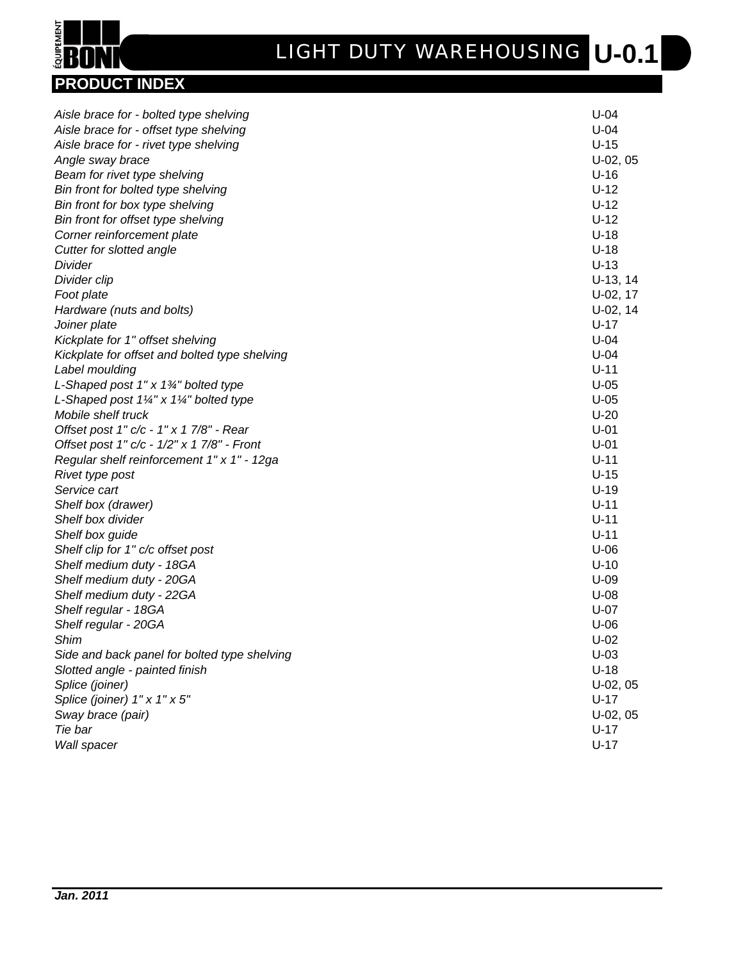

| Aisle brace for - bolted type shelving                        | $U-04$     |
|---------------------------------------------------------------|------------|
| Aisle brace for - offset type shelving                        | $U-04$     |
| Aisle brace for - rivet type shelving                         | $U-15$     |
| Angle sway brace                                              | $U-02, 05$ |
| Beam for rivet type shelving                                  | $U-16$     |
| Bin front for bolted type shelving                            | $U-12$     |
| Bin front for box type shelving                               | $U-12$     |
| Bin front for offset type shelving                            | $U-12$     |
| Corner reinforcement plate                                    | $U-18$     |
| Cutter for slotted angle                                      | $U-18$     |
| Divider                                                       | $U-13$     |
| Divider clip                                                  | $U-13, 14$ |
| Foot plate                                                    | $U-02, 17$ |
| Hardware (nuts and bolts)                                     | $U-02, 14$ |
| Joiner plate                                                  | $U-17$     |
| Kickplate for 1" offset shelving                              | $U-04$     |
| Kickplate for offset and bolted type shelving                 | $U-04$     |
| Label moulding                                                | $U-11$     |
| L-Shaped post $1" \times 1\frac{3}{4"}$ bolted type           | $U-05$     |
| L-Shaped post $1\frac{1}{4}$ " x $1\frac{1}{4}$ " bolted type | $U-05$     |
| Mobile shelf truck                                            | $U-20$     |
| Offset post 1" c/c - 1" x 1 7/8" - Rear                       | $U-01$     |
| Offset post 1" c/c - 1/2" x 1 7/8" - Front                    | $U-01$     |
| Regular shelf reinforcement 1" x 1" - 12ga                    | $U-11$     |
| Rivet type post                                               | $U-15$     |
| Service cart                                                  | $U-19$     |
| Shelf box (drawer)                                            | $U-11$     |
| Shelf box divider                                             | $U-11$     |
| Shelf box guide                                               | $U-11$     |
| Shelf clip for 1" c/c offset post                             | $U-06$     |
| Shelf medium duty - 18GA                                      | $U-10$     |
| Shelf medium duty - 20GA                                      | $U-09$     |
| Shelf medium duty - 22GA                                      | $U-08$     |
| Shelf regular - 18GA                                          | $U-07$     |
| Shelf regular - 20GA                                          | $U-06$     |
| <b>Shim</b>                                                   | $U-02$     |
| Side and back panel for bolted type shelving                  | $U-03$     |
| Slotted angle - painted finish                                | $U-18$     |
| Splice (joiner)                                               | $U-02, 05$ |
| Splice (joiner) 1" x 1" x 5"                                  | $U-17$     |
| Sway brace (pair)                                             | $U-02, 05$ |
| Tie bar                                                       | $U-17$     |
| Wall spacer                                                   | $U-17$     |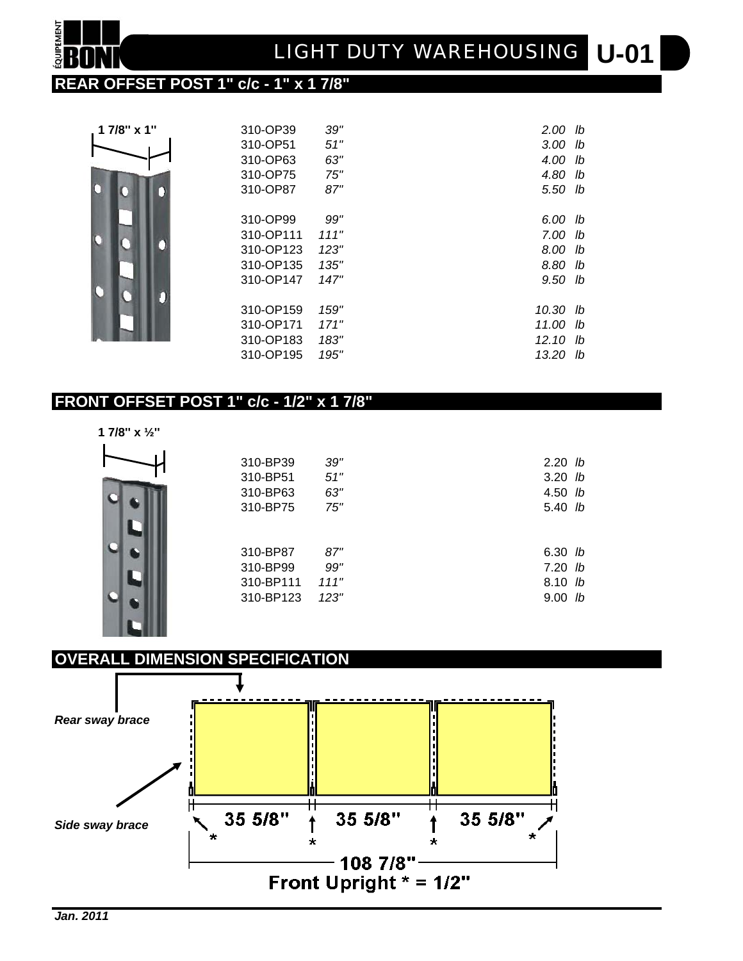### **REAR OFFSET POST 1" c/c - 1" x 1 7/8"**

| 1 7/8" x 1" | 310-OP39  | 39"  | $2.00$ lb |    |
|-------------|-----------|------|-----------|----|
|             | 310-OP51  | 51"  | $3.00$ lb |    |
|             | 310-OP63  | 63"  | 4.00      | lb |
|             | 310-OP75  | 75"  | 4.80      | lb |
|             | 310-OP87  | 87"  | 5.50 lb   |    |
|             | 310-OP99  | 99"  | 6.00      | lb |
|             | 310-OP111 | 111" | 7.00      | lb |
|             | 310-OP123 | 123" | 8.00      | lb |
|             | 310-OP135 | 135" | 8.80      | lb |
|             | 310-OP147 | 147" | 9.50 lb   |    |
|             |           |      |           |    |
|             | 310-OP159 | 159" | 10.30 lb  |    |
|             | 310-OP171 | 171" | 11.00     | lb |
|             | 310-OP183 | 183" | 12.10     | lb |
|             | 310-OP195 | 195" | 13.20     | lb |

### **FRONT OFFSET POST 1" c/c - 1/2" x 1 7/8"**

1011

| 1 7/8" x $\frac{1}{2}$ " |           |      |           |
|--------------------------|-----------|------|-----------|
|                          | 310-BP39  | 39"  | $2.20$ lb |
|                          | 310-BP51  | 51"  | $3.20$ lb |
|                          | 310-BP63  | 63"  | 4.50 lb   |
|                          | 310-BP75  | 75"  | 5.40 lb   |
|                          | 310-BP87  | 87"  | $6.30$ lb |
|                          | 310-BP99  | 99"  | $7.20$ lb |
|                          | 310-BP111 | 111" | 8.10 lb   |
|                          | 310-BP123 | 123" | $9.00$ lb |

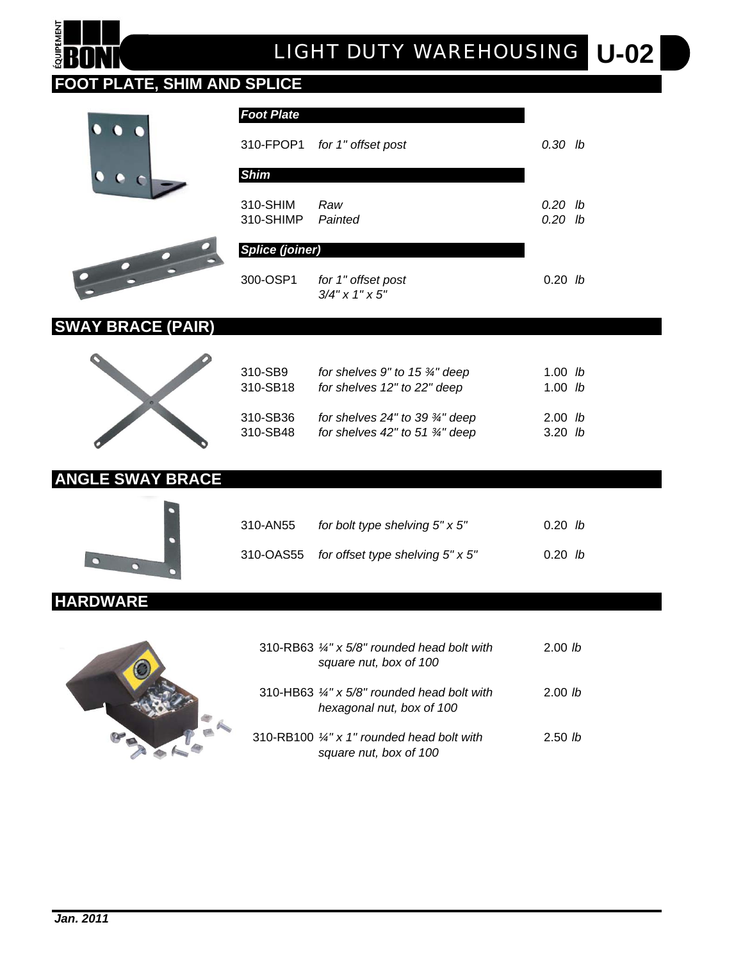# **QUIPEMENT**

### **FOOT PLATE, SHIM AND SPLICE**





| <b>Foot Plate</b>             |                                         |                      |
|-------------------------------|-----------------------------------------|----------------------|
|                               | 310-FPOP1 for 1" offset post            | 0.30 lb              |
| <b>Shim</b>                   |                                         |                      |
| 310-SHIM<br>310-SHIMP Painted | Raw                                     | 0.20 lb<br>$0.20$ lb |
| <b>Splice (joiner)</b>        |                                         |                      |
| 300-OSP1                      | for 1" offset post<br>$3/4$ " x 1" x 5" | 0.20 <sub>h</sub>    |

### **SWAY BRACE (PAIR)**



| 310-SB9  | for shelves 9" to 15 $\frac{3}{4}$ " deep   | 1.00 <i>lb</i>    |  |
|----------|---------------------------------------------|-------------------|--|
| 310-SB18 | for shelves 12" to 22" deep                 | 1.00 $lb$         |  |
| 310-SB36 | for shelves $24"$ to 39 $\frac{3}{4"}$ deep | 2.00 <sub>h</sub> |  |
| 310-SB48 | for shelves 42" to 51 $\frac{3}{4}$ " deep  | $3.20$ lb         |  |

### **ANGLE SWAY BRACE**



| 310-AN55 | for bolt type shelving $5" \times 5"$      | 0.20 h |
|----------|--------------------------------------------|--------|
|          | 310-OAS55 for offset type shelving 5" x 5" | 0.20 h |

### **HARDWARE**



| 310-RB63 $\frac{1}{4}$ " x 5/8" rounded head bolt with<br>square nut, box of 100    | 2.00 lb           |  |
|-------------------------------------------------------------------------------------|-------------------|--|
| 310-HB63 $\frac{1}{4}$ " x 5/8" rounded head bolt with<br>hexagonal nut, box of 100 | 2.00 <sub>h</sub> |  |
| 310-RB100 $\frac{1}{4}$ " x 1" rounded head bolt with<br>square nut, box of 100     | 2.50 <sub>h</sub> |  |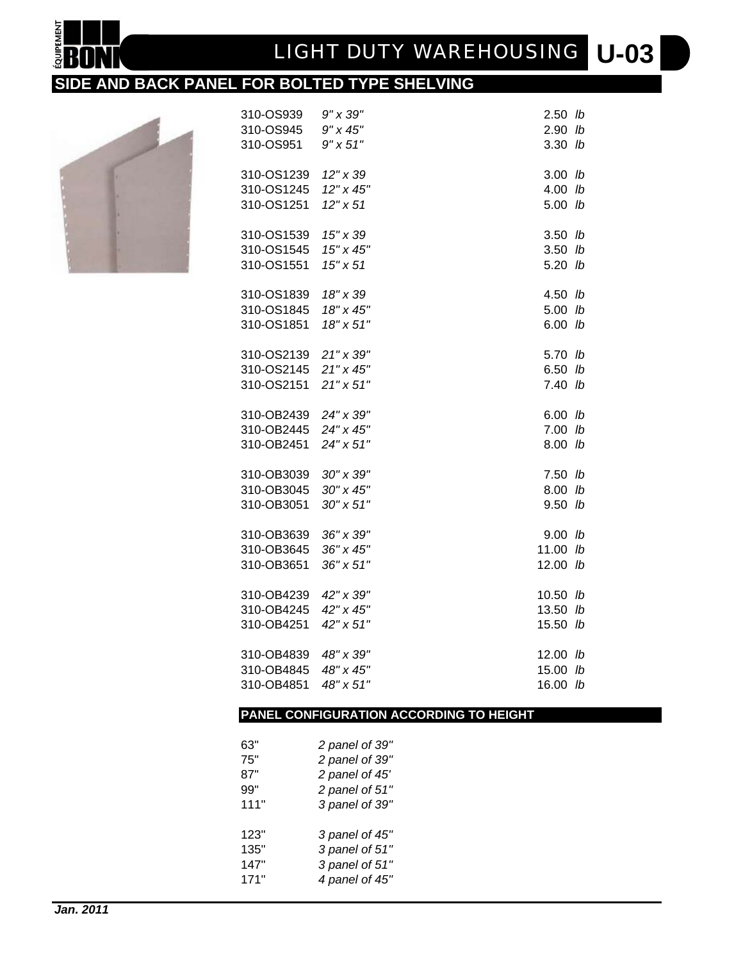# **U-03** *LIGHT DUTY WAREHOUSING*

### **SIDE AND BACK PANEL FOR BOLTED TYPE SHELVING**



**QUIPEMENT** 

| 310-OS939  | 9" x 39"           | 2.50  | lb            |
|------------|--------------------|-------|---------------|
| 310-OS945  | $9'' \times 45''$  | 2.90  | lb            |
| 310-OS951  | $9'' \times 51''$  | 3.30  | lb            |
| 310-OS1239 | $12'' \times 39$   | 3.00  | lb            |
| 310-OS1245 | 12" x 45"          | 4.00  | lb            |
| 310-OS1251 | 12" x 51           | 5.00  | lb            |
| 310-OS1539 | 15" x 39           | 3.50  | lb            |
| 310-OS1545 | 15" x 45"          | 3.50  | lb            |
| 310-OS1551 | $15'' \times 51$   | 5.20  | lb            |
| 310-OS1839 | 18" x 39           | 4.50  | lb            |
| 310-OS1845 | 18" x 45"          | 5.00  | lb            |
| 310-OS1851 | 18" x 51"          | 6.00  | lb            |
| 310-OS2139 | 21" x 39"          | 5.70  | lb            |
| 310-OS2145 | 21" x 45"          | 6.50  | lb            |
| 310-OS2151 | $21" \times 51"$   | 7.40  | $\mathsf{lb}$ |
| 310-OB2439 | 24" x 39"          | 6.00  | lb            |
| 310-OB2445 | 24" x 45"          | 7.00  | lb            |
| 310-OB2451 | 24" x 51"          | 8.00  | lb            |
| 310-OB3039 | 30" x 39"          | 7.50  | lb            |
| 310-OB3045 | 30" x 45"          | 8.00  | lb            |
| 310-OB3051 | $30'' \times 51''$ | 9.50  | lb            |
| 310-OB3639 | 36" x 39"          | 9.00  | lb            |
| 310-OB3645 | 36" x 45"          | 11.00 | lb            |
| 310-OB3651 | 36" x 51"          | 12.00 | lb            |
| 310-OB4239 | 42" x 39"          | 10.50 | lb            |
| 310-OB4245 | 42" x 45"          | 13.50 | lb            |
| 310-OB4251 | 42" x 51"          | 15.50 | lb            |
| 310-OB4839 | 48" x 39"          | 12.00 | lb            |
| 310-OB4845 | 48" x 45"          | 15.00 | lb            |
| 310-OB4851 | 48" x 51"          | 16.00 | lb            |
|            |                    |       |               |

### **PANEL CONFIGURATION ACCORDING TO HEIGHT**

| 63"  | 2 panel of 39" |
|------|----------------|
| 75"  | 2 panel of 39" |
| 87"  | 2 panel of 45' |
| 99"  | 2 panel of 51" |
| 111" | 3 panel of 39" |
| 123" | 3 panel of 45" |
| 135" | 3 panel of 51" |
| 147" | 3 panel of 51" |
| 171" | 4 panel of 45" |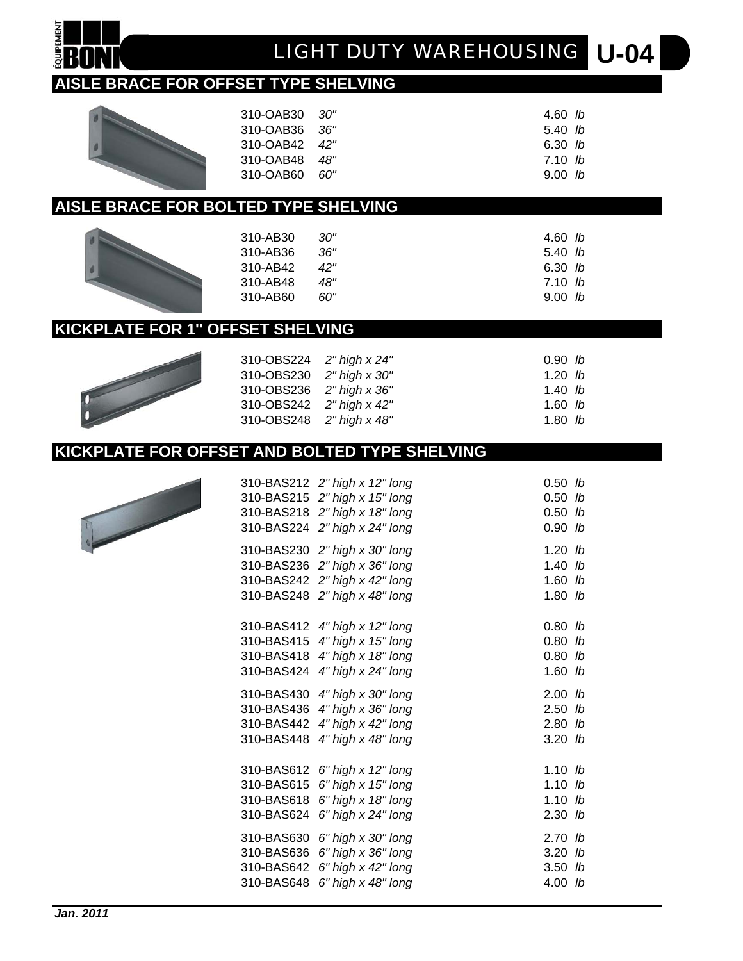**QUIPEMENT** 

# **U-04** *LIGHT DUTY WAREHOUSING*

### **AISLE BRACE FOR OFFSET TYPE SHELVING**

| 310-OAB30 30" | 4.60 lb     |  |
|---------------|-------------|--|
| 310-OAB36 36" | $5.40\,$ lb |  |
| 310-OAB42 42" | 6.30 $lb$   |  |
| 310-OAB48 48" | 7.10 lb     |  |
| 310-OAB60 60" | 9.00 h      |  |
|               |             |  |

### **AISLE BRACE FOR BOLTED TYPE SHELVING**

| 310-AB30 | .30" | 4.60 $lb$ |  |
|----------|------|-----------|--|
| 310-AB36 | .36" | 5.40 $lb$ |  |
| 310-AB42 | 42"  | 6.30 h    |  |
| 310-AB48 | 48"  | 7.10 lb   |  |
| 310-AB60 | הח   | 9.00 h    |  |
|          |      |           |  |

### **KICKPLATE FOR 1'' OFFSET SHELVING**

| 310-OBS224 2" high x 24" | 0.90 h    |
|--------------------------|-----------|
| 310-OBS230 2" high x 30" | 1.20 $lb$ |
| 310-OBS236 2" high x 36" | 1.40 $lb$ |
| 310-OBS242 2" high x 42" | $1.60$ lb |
| 310-OBS248 2" high x 48" | $1.80$ lb |
|                          |           |

### **KICKPLATE FOR OFFSET AND BOLTED TYPE SHELVING**

| 310-BAS215<br>310-BAS224                             | 310-BAS212 2" high x 12" long<br>2" high x 15" long<br>310-BAS218 2" high x 18" long<br>2" high x 24" long            | 0.50<br>0.50<br>0.50<br>0.90      | lb<br>lb<br>lb<br>lb |
|------------------------------------------------------|-----------------------------------------------------------------------------------------------------------------------|-----------------------------------|----------------------|
| 310-BAS230<br>310-BAS236<br>310-BAS242<br>310-BAS248 | 2" high x 30" long<br>2" high x 36" long<br>2" high x 42" long<br>2" high x 48" long                                  | 1.20<br>1.40<br>1.60<br>$1.80$ lb | lb<br>lb<br>lb       |
| 310-BAS424                                           | 310-BAS412 4" high x 12" long<br>310-BAS415 4" high x 15" long<br>310-BAS418 4" high x 18" long<br>4" high x 24" long | 0.80<br>0.80<br>0.80<br>1.60      | lb<br>lb<br>lb<br>lb |
| 310-BAS436<br>310-BAS442<br>310-BAS448               | 310-BAS430 4" high x 30" long<br>4" high x 36" long<br>4" high x 42" long<br>4" high x 48" long                       | 2.00<br>2.50<br>2.80<br>$3.20$ lb | lb<br>lb<br>lb       |
| 310-BAS612<br>310-BAS615<br>310-BAS618<br>310-BAS624 | 6" high x 12" long<br>6" high x 15" long<br>6" high x 18" long<br>6" high x 24" long                                  | 1.10<br>1.10<br>1.10<br>2.30      | lb<br>lb<br>lb<br>lb |
| 310-BAS630<br>310-BAS636<br>310-BAS642<br>310-BAS648 | 6" high x 30" long<br>6" high x 36" long<br>6" high x 42" long<br>6" high x 48" long                                  | 2.70<br>3.20<br>3.50<br>4.00      | lb<br>lb<br>lb<br>lb |



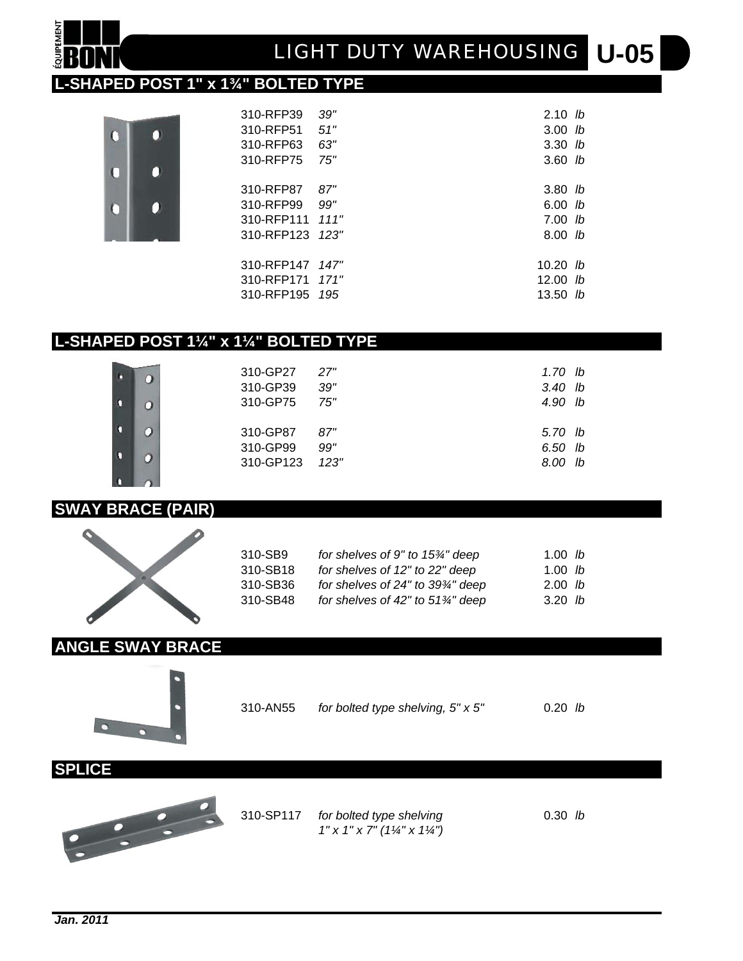# **U-05** *LIGHT DUTY WAREHOUSING*

### **L-SHAPED POST 1" x 1¾" BOLTED TYPE**

O

0

O

O

 $\overline{0}$ 

C

**OUIPEMENT** 

| 310-RFP39  | 39"   | 2.10 h            |  |
|------------|-------|-------------------|--|
| 310-RFP51  | 51"   | 3.00 <sub>h</sub> |  |
| 310-RFP63  | 63"   | $3.30$ lb         |  |
| 310-RFP75  | 75"   | $3.60$ lb         |  |
| 310-RFP87  | 87"   | $3.80$ lb         |  |
| 310-RFP99  | 99"   | 6.00 h            |  |
| 310-RFP111 | 111"  | 7.00 h            |  |
| 310-RFP123 | 12.3" | 8.00 <sub>h</sub> |  |
| 310-RFP147 | 147"  | 10.20 <i>lb</i>   |  |
| 310-RFP171 | 171"  | 12.00 $lb$        |  |
| 310-RFP195 | 195   | 13.50 $lb$        |  |

### **L-SHAPED POST 1¼" x 1¼" BOLTED TYPE**

| 310-GP27 27"<br>310-GP39<br>310-GP75 75" | 39"        | 1.70 lb<br>$3.40$ lb<br>4.90 lb |  |
|------------------------------------------|------------|---------------------------------|--|
| 310-GP87<br>310-GP99<br>310-GP123 123"   | 87"<br>99" | 5.70 lb<br>6.50 lb<br>8.00 lb   |  |

### **SWAY BRACE (PAIR)**

 $\overline{O}$ 

Ö

O

n

п

n



| 310-SB9  | for shelves of 9" to 15%" deep               | 1.00 <i>lb</i>    |
|----------|----------------------------------------------|-------------------|
| 310-SB18 | for shelves of 12" to 22" deep               | 1.00 $lb$         |
| 310-SB36 | for shelves of 24" to 39%" deep              | 2.00 <sub>h</sub> |
| 310-SB48 | for shelves of 42" to $51\frac{3}{4}$ " deep | 3.20 <sub>h</sub> |

### **ANGLE SWAY BRACE**



310-AN55 *for bolted type shelving, 5" x 5"* 0.20 *lb*

**SPLICE**



310-SP117 *for bolted type shelving* 0.30 *lb 1" x 1" x 7" (1¼" x 1¼")*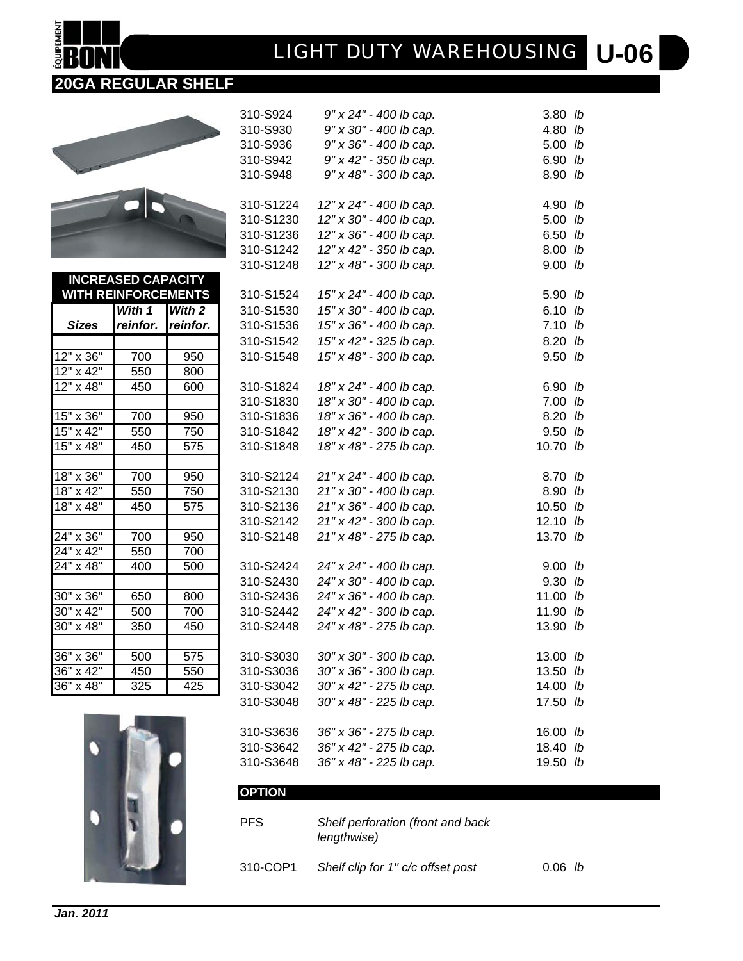# **U-06** *LIGHT DUTY WAREHOUSING*

310-S924 *9" x 24" - 400 lb cap.* 3.80 *lb* 310-S930 *9" x 30" - 400 lb cap.* 4.80 *lb* 310-S936 *9" x 36" - 400 lb cap.* 5.00 *lb* 310-S942 *9" x 42" - 350 lb cap.* 6.90 *lb* 310-S948 *9" x 48" - 300 lb cap.* 8.90 *lb*

### **20GA REGULAR SHELF**



**OUIPEMENT** 

24" x 42"

|                  | $\Box$                     |          | 310-S1224 | 12" x 24" - 400 lb cap. | 4.90 lb    |  |
|------------------|----------------------------|----------|-----------|-------------------------|------------|--|
|                  |                            |          | 310-S1230 | 12" x 30" - 400 lb cap. | $5.00$ lb  |  |
|                  |                            |          | 310-S1236 | 12" x 36" - 400 lb cap. | $6.50$ lb  |  |
|                  |                            |          | 310-S1242 | 12" x 42" - 350 lb cap. | 8.00 lb    |  |
|                  |                            |          | 310-S1248 | 12" x 48" - 300 lb cap. | $9.00$ lb  |  |
|                  | <b>INCREASED CAPACITY</b>  |          |           |                         |            |  |
|                  | <b>WITH REINFORCEMENTS</b> |          | 310-S1524 | 15" x 24" - 400 lb cap. | 5.90 lb    |  |
|                  | With 1                     | With 2   | 310-S1530 | 15" x 30" - 400 lb cap. | $6.10$ lb  |  |
| <b>Sizes</b>     | reinfor.                   | reinfor. | 310-S1536 | 15" x 36" - 400 lb cap. | 7.10 h     |  |
|                  |                            |          | 310-S1542 | 15" x 42" - 325 lb cap. | 8.20 lb    |  |
| 12" x 36"        | 700                        | 950      | 310-S1548 | 15" x 48" - 300 lb cap. | $9.50$ lb  |  |
| $12" \times 42"$ | 550                        | 800      |           |                         |            |  |
| $12"$ x 48"      | 450                        | 600      | 310-S1824 | 18" x 24" - 400 lb cap. | 6.90 lb    |  |
|                  |                            |          | 310-S1830 | 18" x 30" - 400 lb cap. | $7.00$ lb  |  |
| $15" \times 36"$ | 700                        | 950      | 310-S1836 | 18" x 36" - 400 lb cap. | 8.20 lb    |  |
| 15" x 42"        | 550                        | 750      | 310-S1842 | 18" x 42" - 300 lb cap. | $9.50$ lb  |  |
| 15" x 48"        | 450                        | 575      | 310-S1848 | 18" x 48" - 275 lb cap. | 10.70 lb   |  |
|                  |                            |          |           |                         |            |  |
| 18" x 36"        | 700                        | 950      | 310-S2124 | 21" x 24" - 400 lb cap. | 8.70 lb    |  |
| 18" x 42"        | 550                        | 750      | 310-S2130 | 21" x 30" - 400 lb cap. | 8.90 lb    |  |
| $18" \times 48"$ | 450                        | 575      | 310-S2136 | 21" x 36" - 400 lb cap. | 10.50 $lb$ |  |
|                  |                            |          | 310-S2142 | 21" x 42" - 300 lb cap. | 12.10 $lb$ |  |
| 24" x 36"        | 700                        | 950      | 310-S2148 | 21" x 48" - 275 lb cap. | 13.70 lb   |  |
| 24" x 42"        | 550                        | 700      |           |                         |            |  |
| 24" x 48"        | 400                        | 500      | 310-S2424 | 24" x 24" - 400 lb cap. | $9.00$ lb  |  |
|                  |                            |          | 310-S2430 | 24" x 30" - 400 lb cap. | $9.30$ lb  |  |
| 30" x 36"        | 650                        | 800      | 310-S2436 | 24" x 36" - 400 lb cap. | 11.00 $lb$ |  |
| $30" \times 42"$ | 500                        | 700      | 310-S2442 | 24" x 42" - 300 lb cap. | 11.90 $lb$ |  |
| $30" \times 48"$ | 350                        | 450      | 310-S2448 | 24" x 48" - 275 lb cap. | 13.90 lb   |  |
|                  |                            |          |           |                         |            |  |
| $36" \times 36"$ | 500                        | 575      | 310-S3030 | 30" x 30" - 300 lb cap. | $13.00$ lb |  |
| $36" \times 42"$ | 450                        | 550      | 310-S3036 | 30" x 36" - 300 lb cap. | 13.50 $lb$ |  |
| 36" x 48"        | 325                        | 425      | 310-S3042 | 30" x 42" - 275 lb cap. | 14.00 lb   |  |
|                  |                            |          | 310-S3048 | 30" x 48" - 225 lb cap. | 17.50 lb   |  |
|                  |                            |          |           |                         |            |  |
|                  |                            |          | 310-S3636 | 36" x 36" - 275 lb cap. | 16.00 lb   |  |
|                  |                            |          | 310-S3642 | 36" x 42" - 275 lb cap. | 18.40 lb   |  |
|                  |                            |          | 310-S3648 | 36" x 48" - 225 lb cap. | 19.50 lb   |  |
|                  |                            |          |           |                         |            |  |

| PFS.     | Shelf perforation (front and back<br>lengthwise) |                  |
|----------|--------------------------------------------------|------------------|
| 310-COP1 | Shelf clip for 1" c/c offset post                | $0.06$ <i>lb</i> |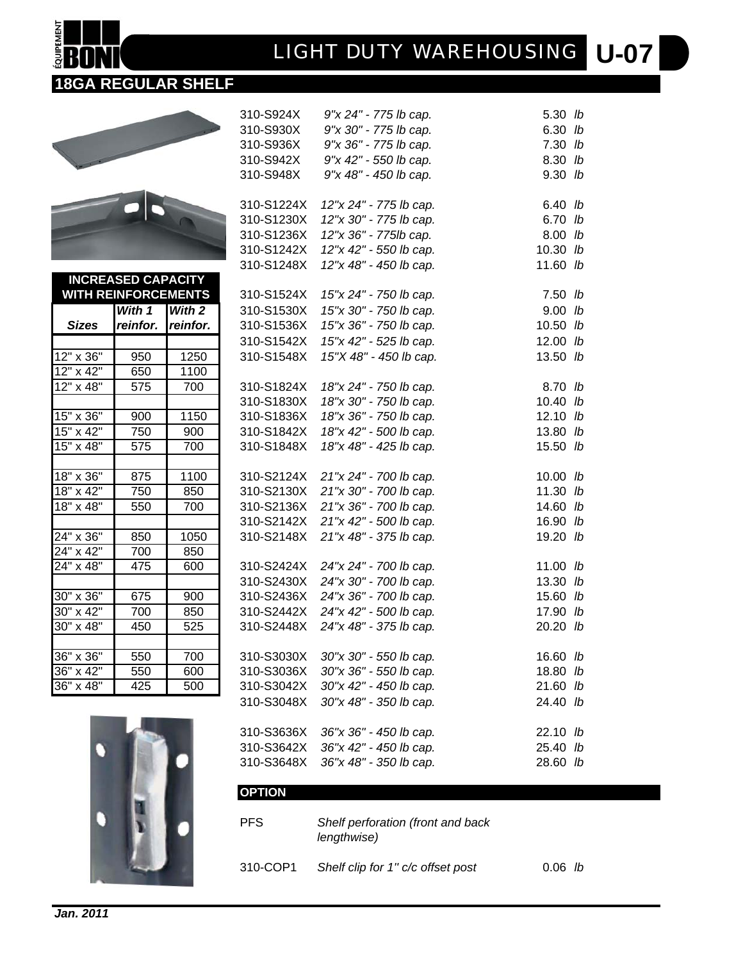# **U-07** *LIGHT DUTY WAREHOUSING*

310-S924X *9"x 24" - 775 lb cap.* 5.30 *lb* 310-S930X *9"x 30" - 775 lb cap.* 6.30 *lb* 310-S936X *9"x 36" - 775 lb cap.* 7.30 *lb* 310-S942X *9"x 42" - 550 lb cap.* 8.30 *lb* 310-S948X *9"x 48" - 450 lb cap.* 9.30 *lb*

### **18GA REGULAR SHELF**



**OUIPEMENT** 

24" x 42"

|                         |                            |          | 310-S1224X | 12"x 24" - 775 lb cap. | $6.40$ lb  |  |
|-------------------------|----------------------------|----------|------------|------------------------|------------|--|
|                         |                            |          | 310-S1230X | 12"x 30" - 775 lb cap. | 6.70 lb    |  |
|                         |                            |          | 310-S1236X | 12"x 36" - 775lb cap.  | 8.00 lb    |  |
|                         |                            |          | 310-S1242X | 12"x 42" - 550 lb cap. | 10.30 $lb$ |  |
|                         |                            |          | 310-S1248X | 12"x 48" - 450 lb cap. | 11.60 $lb$ |  |
|                         | <b>INCREASED CAPACITY</b>  |          |            |                        |            |  |
|                         | <b>WITH REINFORCEMENTS</b> |          | 310-S1524X | 15"x 24" - 750 lb cap. | $7.50$ lb  |  |
|                         | With 1                     | With 2   | 310-S1530X | 15"x 30" - 750 lb cap. | $9.00$ lb  |  |
| <b>Sizes</b>            | reinfor.                   | reinfor. | 310-S1536X | 15"x 36" - 750 lb cap. | $10.50$ lb |  |
|                         |                            |          | 310-S1542X | 15"x 42" - 525 lb cap. | 12.00 $lb$ |  |
| 12" x 36"               | 950                        | 1250     | 310-S1548X | 15"X 48" - 450 lb cap. | 13.50 lb   |  |
| $12" \times 42"$        | 650                        | 1100     |            |                        |            |  |
| $\overline{12}$ " x 48" | 575                        | 700      | 310-S1824X | 18"x 24" - 750 lb cap. | 8.70 lb    |  |
|                         |                            |          | 310-S1830X | 18"x 30" - 750 lb cap. | 10.40 $lb$ |  |
| 15" x 36"               | 900                        | 1150     | 310-S1836X | 18"x 36" - 750 lb cap. | 12.10 $lb$ |  |
| $15'' \times 42''$      | 750                        | 900      | 310-S1842X | 18"x 42" - 500 lb cap. | 13.80 lb   |  |
| $15" \times 48"$        | 575                        | 700      | 310-S1848X | 18"x 48" - 425 lb cap. | 15.50 lb   |  |
|                         |                            |          |            |                        |            |  |
| $18" \times 36"$        | 875                        | 1100     | 310-S2124X | 21"x 24" - 700 lb cap. | $10.00$ lb |  |
| 18" x 42"               | 750                        | 850      | 310-S2130X | 21"x 30" - 700 lb cap. | 11.30 $lb$ |  |
| 18" x 48"               | 550                        | 700      | 310-S2136X | 21"x 36" - 700 lb cap. | 14.60 lb   |  |
|                         |                            |          | 310-S2142X | 21"x 42" - 500 lb cap. | 16.90 lb   |  |
| 24" x 36"               | 850                        | 1050     | 310-S2148X | 21"x 48" - 375 lb cap. | 19.20 lb   |  |
| 24" x 42"               | 700                        | 850      |            |                        |            |  |
| 24" x 48"               | 475                        | 600      | 310-S2424X | 24"x 24" - 700 lb cap. | 11.00 $lb$ |  |
|                         |                            |          | 310-S2430X | 24"x 30" - 700 lb cap. | $13.30$ lb |  |
| $30" \times 36"$        | 675                        | 900      | 310-S2436X | 24"x 36" - 700 lb cap. | 15.60 lb   |  |
| $30" \times 42"$        | 700                        | 850      | 310-S2442X | 24"x 42" - 500 lb cap. | 17.90 lb   |  |
| $30" \times 48"$        | 450                        | 525      | 310-S2448X | 24"x 48" - 375 lb cap. | 20.20 lb   |  |
|                         |                            |          |            |                        |            |  |
| $36" \times 36"$        | 550                        | 700      | 310-S3030X | 30"x 30" - 550 lb cap. | 16.60 lb   |  |
| $36" \times 42"$        | 550                        | 600      | 310-S3036X | 30"x 36" - 550 lb cap. | 18.80 lb   |  |
| 36" x 48"               | 425                        | 500      | 310-S3042X | 30"x 42" - 450 lb cap. | 21.60 lb   |  |
|                         |                            |          | 310-S3048X | 30"x 48" - 350 lb cap. | 24.40 lb   |  |
|                         |                            |          |            |                        |            |  |
|                         |                            |          | 310-S3636X | 36"x 36" - 450 lb cap. | 22.10 lb   |  |
|                         |                            |          | 310-S3642X | 36"x 42" - 450 lb cap. | 25.40 lb   |  |
|                         |                            |          | 310-S3648X | 36"x 48" - 350 lb cap. | 28.60 lb   |  |

| <b>PFS</b> | Shelf perforation (front and back<br>lengthwise) |                  |
|------------|--------------------------------------------------|------------------|
| 310-COP1   | Shelf clip for 1" c/c offset post                | $0.06$ <i>lb</i> |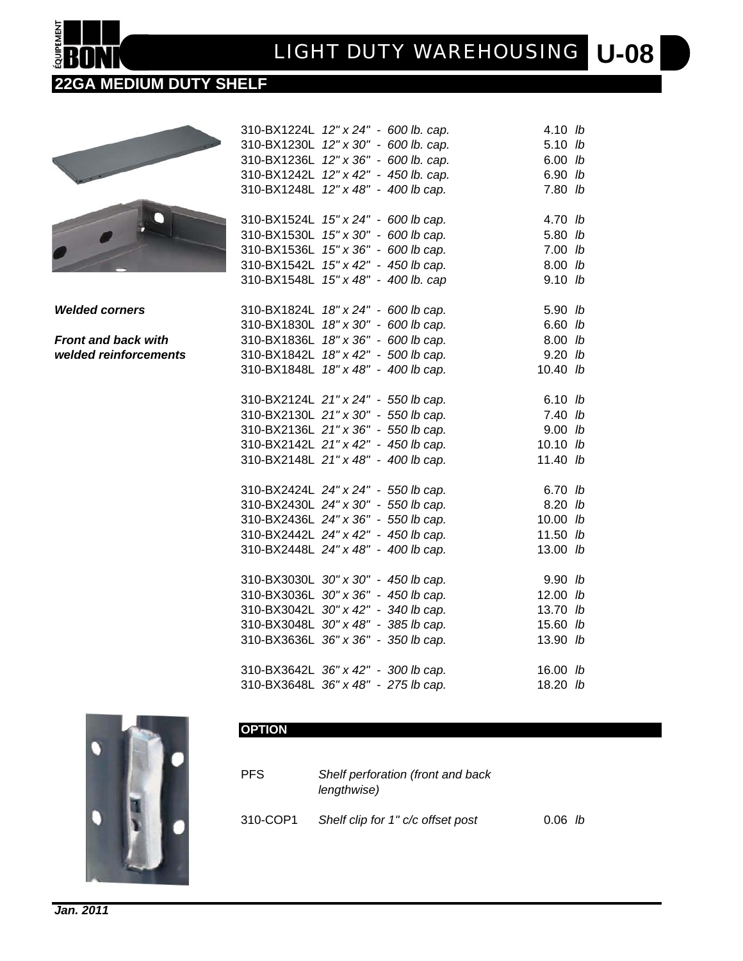# **U-08** *LIGHT DUTY WAREHOUSING*

### **22GA MEDIUM DUTY SHELF**



*Welded corners* 

**EQUIPEMENT** 

**Front and back with**  $w$ elded reinforcements

| 310-BX1224L                         | $12" \times 24"$        | - 600 lb. cap.           | 4.10  | lb |
|-------------------------------------|-------------------------|--------------------------|-------|----|
| 310-BX1230L                         | 12" x 30"               | - 600 lb. cap.           | 5.10  | lb |
| 310-BX1236L                         |                         | 12" x 36" - 600 lb. cap. | 6.00  | lb |
| 310-BX1242L                         | $12" \times 42"$        | - 450 lb. cap.           | 6.90  | lb |
| 310-BX1248L                         | 12" x 48"               | - 400 lb cap.            | 7.80  | lb |
| 310-BX1524L                         |                         | 15" x 24" - 600 lb cap.  | 4.70  | lb |
| 310-BX1530L                         |                         | 15" x 30" - 600 lb cap.  | 5.80  | lb |
| 310-BX1536L                         |                         | 15" x 36" - 600 lb cap.  | 7.00  | lb |
| 310-BX1542L                         |                         | 15" x 42" - 450 lb cap.  | 8.00  | lb |
| 310-BX1548L                         | 15" x 48"               | - 400 lb. cap            | 9.10  | lb |
| 310-BX1824L                         |                         | 18" x 24" - 600 lb cap.  | 5.90  | lb |
| 310-BX1830L                         |                         | 18" x 30" - 600 lb cap.  | 6.60  | lb |
| 310-BX1836L                         |                         | 18" x 36" - 600 lb cap.  | 8.00  | lb |
| 310-BX1842L                         | 18" x 42" -             | 500 lb cap.              | 9.20  | lb |
| 310-BX1848L                         | 18" x 48" -             | 400 lb cap.              | 10.40 | lb |
| 310-BX2124L 21" x 24" - 550 lb cap. |                         |                          | 6.10  | lb |
| 310-BX2130L 21" x 30" - 550 lb cap. |                         |                          | 7.40  | lb |
| 310-BX2136L 21" x 36" - 550 lb cap. |                         |                          | 9.00  | lb |
| 310-BX2142L 21" x 42" - 450 lb cap. |                         |                          | 10.10 | lb |
| 310-BX2148L 21" x 48" - 400 lb cap. |                         |                          | 11.40 | lb |
| 310-BX2424L 24" x 24" - 550 lb cap. |                         |                          | 6.70  | lb |
| 310-BX2430L 24" x 30" - 550 lb cap. |                         |                          | 8.20  | lb |
| 310-BX2436L 24" x 36" - 550 lb cap. |                         |                          | 10.00 | lb |
| 310-BX2442L 24" x 42" - 450 lb cap. |                         |                          | 11.50 | lb |
| 310-BX2448L 24" x 48"               |                         | - 400 lb cap.            | 13.00 | lb |
| 310-BX3030L                         | 30" x 30" - 450 lb cap. |                          | 9.90  | lb |
| 310-BX3036L                         | 30" x 36" - 450 lb cap. |                          | 12.00 | lb |
| 310-BX3042L                         | 30" x 42" - 340 lb cap. |                          | 13.70 | lb |
| 310-BX3048L                         | 30" x 48"               | - 385 lb cap.            | 15.60 | lb |
| 310-BX3636L                         | 36" x 36"               | - 350 lb cap.            | 13.90 | lb |
| 310-BX3642L                         | 36" x 42"               | - 300 lb cap.            | 16.00 | lb |
| 310-BX3648L                         | 36" x 48"               | - 275 lb cap.            | 18.20 | lb |



| <b>PFS</b> | Shelf perforation (front and back<br>lengthwise) |                  |  |
|------------|--------------------------------------------------|------------------|--|
| 310-COP1   | Shelf clip for 1" c/c offset post                | $0.06$ <i>lb</i> |  |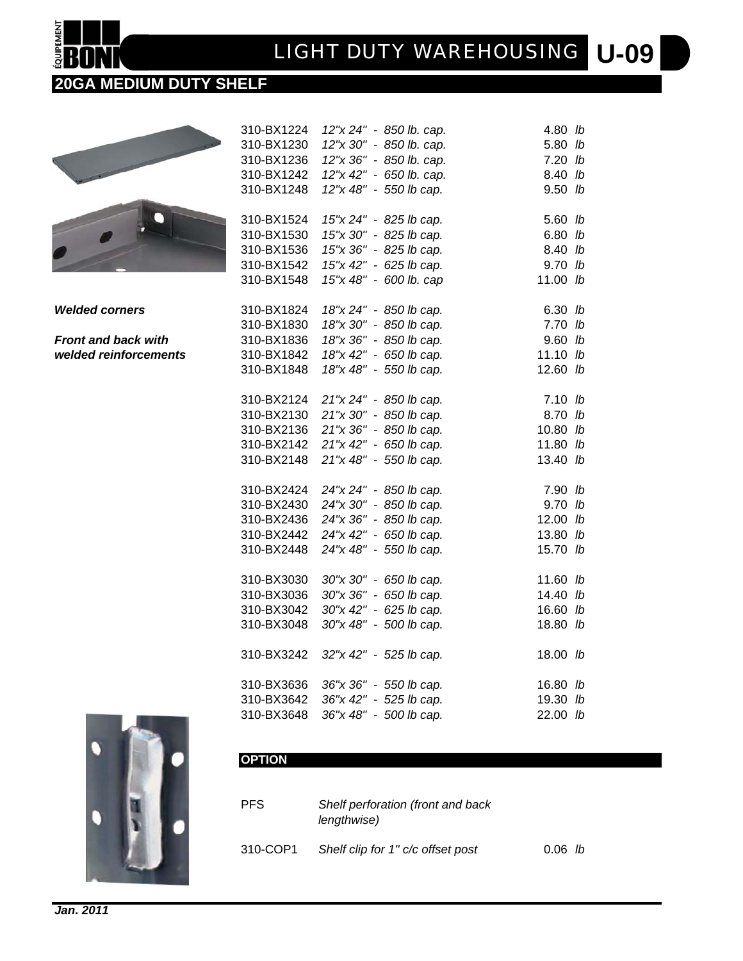# **U-09** *LIGHT DUTY WAREHOUSING*

### **20GA MEDIUM DUTY SHELF**

**EQUIPEMENT** 

|                            | 310-BX1224 | 12"x 24" - 850 lb. cap.           | 4.80 lb    |  |
|----------------------------|------------|-----------------------------------|------------|--|
|                            | 310-BX1230 | 12"x 30" - 850 lb. cap.           | 5.80 lb    |  |
|                            | 310-BX1236 | 12"x 36" - 850 lb. cap.           | $7.20$ lb  |  |
|                            | 310-BX1242 | 12"x 42" - 650 lb. cap.           | 8.40 lb    |  |
|                            | 310-BX1248 | 12"x 48" - 550 lb cap.            | $9.50$ lb  |  |
|                            |            |                                   |            |  |
|                            | 310-BX1524 | 15"x 24" - 825 lb cap.            | 5.60 lb    |  |
|                            | 310-BX1530 | 15"x 30" - 825 lb cap.            | $6.80$ lb  |  |
|                            | 310-BX1536 | 15"x 36" - 825 lb cap.            | 8.40 lb    |  |
|                            | 310-BX1542 | 15"x 42" - 625 lb cap.            | $9.70$ lb  |  |
|                            | 310-BX1548 | 15"x 48" - 600 lb. cap            | 11.00 $lb$ |  |
|                            |            |                                   |            |  |
| <b>Welded corners</b>      | 310-BX1824 | 18"x 24" - 850 lb cap.            | $6.30$ lb  |  |
|                            | 310-BX1830 | 18"x 30" - 850 lb cap.            | $7.70$ lb  |  |
| <b>Front and back with</b> | 310-BX1836 | 18"x 36" - 850 lb cap.            | $9.60$ lb  |  |
| welded reinforcements      | 310-BX1842 | 18"x 42" - 650 lb cap.            | 11.10 $lb$ |  |
|                            | 310-BX1848 | 18"x 48" - 550 lb cap.            | 12.60 lb   |  |
|                            |            |                                   |            |  |
|                            | 310-BX2124 | 21"x 24" - 850 lb cap.            | $7.10$ lb  |  |
|                            |            | 310-BX2130 21"x 30" - 850 lb cap. | 8.70 lb    |  |
|                            |            | 310-BX2136 21"x 36" - 850 lb cap. | $10.80$ lb |  |
|                            |            | 310-BX2142 21"x 42" - 650 lb cap. | 11.80 $lb$ |  |
|                            | 310-BX2148 | 21"x 48" - 550 lb cap.            | 13.40 lb   |  |
|                            |            |                                   |            |  |
|                            |            | 310-BX2424 24"x 24" - 850 lb cap. | 7.90 lb    |  |
|                            | 310-BX2430 | 24"x 30" - 850 lb cap.            | 9.70 lb    |  |
|                            | 310-BX2436 | 24"x 36" - 850 lb cap.            | $12.00$ lb |  |
|                            | 310-BX2442 | 24"x 42" - 650 lb cap.            | 13.80 lb   |  |
|                            | 310-BX2448 | 24"x 48" - 550 lb cap.            | 15.70 lb   |  |
|                            |            |                                   |            |  |
|                            | 310-BX3030 | 30"x 30" - 650 lb cap.            | 11.60 $lb$ |  |
|                            | 310-BX3036 | 30"x 36" - 650 lb cap.            | 14.40 lb   |  |
|                            | 310-BX3042 | 30"x 42" - 625 lb cap.            | 16.60 lb   |  |
|                            | 310-BX3048 | 30"x 48" - 500 lb cap.            | 18.80 lb   |  |
|                            |            |                                   |            |  |
|                            | 310-BX3242 | 32"x 42" - 525 lb cap.            | 18.00 lb   |  |
|                            |            |                                   |            |  |
|                            | 310-BX3636 | 36"x 36" - 550 lb cap.            | 16.80 lb   |  |
|                            | 310-BX3642 | 36"x 42" - 525 lb cap.            | 19.30 lb   |  |
|                            | 310-BX3648 | 36"x 48" - 500 lb cap.            | 22.00 lb   |  |
|                            |            |                                   |            |  |



| <b>PFS</b> | Shelf perforation (front and back<br>lengthwise) |                  |  |
|------------|--------------------------------------------------|------------------|--|
| 310-COP1   | Shelf clip for 1" c/c offset post                | $0.06$ <i>lb</i> |  |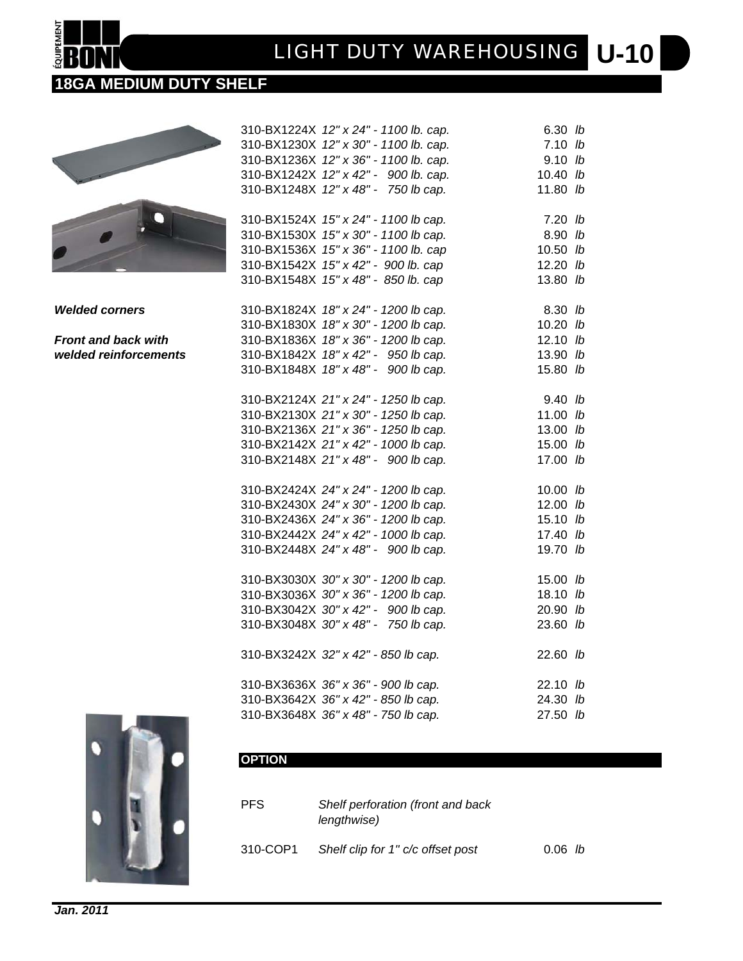## **U-10** *LIGHT DUTY WAREHOUSING*

### **18GA MEDIUM DUTY SHELF**



**Welded corners** 3

**EQUIPEMENT** 

*Front and back with* 3 **welded reinforcements** 3

| 310-BX1224X 12" x 24" - 1100 lb. cap. | $6.30$ lb  |               |
|---------------------------------------|------------|---------------|
| 310-BX1230X 12" x 30" - 1100 lb. cap. | $7.10$ lb  |               |
| 310-BX1236X 12" x 36" - 1100 lb. cap. | $9.10$ lb  |               |
| 310-BX1242X 12" x 42" - 900 lb. cap.  | 10.40 lb   |               |
| 310-BX1248X 12" x 48" - 750 lb cap.   | 11.80 lb   |               |
|                                       |            |               |
| 310-BX1524X 15" x 24" - 1100 lb cap.  | $7.20$ lb  |               |
| 310-BX1530X 15" x 30" - 1100 lb cap.  | 8.90 lb    |               |
| 310-BX1536X 15" x 36" - 1100 lb. cap  | 10.50      | $\mathsf{lb}$ |
| 310-BX1542X 15" x 42" - 900 lb. cap   | 12.20 lb   |               |
| 310-BX1548X 15" x 48" - 850 lb. cap   | 13.80 lb   |               |
|                                       |            |               |
| 310-BX1824X 18" x 24" - 1200 lb cap.  | 8.30 lb    |               |
| 310-BX1830X 18" x 30" - 1200 lb cap.  | 10.20 lb   |               |
| 310-BX1836X 18" x 36" - 1200 lb cap.  | 12.10 $lb$ |               |
| 310-BX1842X 18" x 42" - 950 lb cap.   | 13.90 lb   |               |
| 310-BX1848X 18" x 48" - 900 lb cap.   | 15.80 lb   |               |
|                                       |            |               |
| 310-BX2124X 21" x 24" - 1250 lb cap.  | 9.40 lb    |               |
| 310-BX2130X 21" x 30" - 1250 lb cap.  | 11.00 lb   |               |
| 310-BX2136X 21" x 36" - 1250 lb cap.  | 13.00 lb   |               |
| 310-BX2142X 21" x 42" - 1000 lb cap.  | 15.00 lb   |               |
| 310-BX2148X 21" x 48" - 900 lb cap.   | 17.00 lb   |               |
|                                       |            |               |
| 310-BX2424X 24" x 24" - 1200 lb cap.  | 10.00 lb   |               |
| 310-BX2430X 24" x 30" - 1200 lb cap.  | 12.00 lb   |               |
| 310-BX2436X 24" x 36" - 1200 lb cap.  | 15.10 lb   |               |
| 310-BX2442X 24" x 42" - 1000 lb cap.  | 17.40 lb   |               |
| 310-BX2448X 24" x 48" - 900 lb cap.   | 19.70 lb   |               |
|                                       |            |               |
| 310-BX3030X 30" x 30" - 1200 lb cap.  | 15.00 lb   |               |
| 310-BX3036X 30" x 36" - 1200 lb cap.  | 18.10      | lb            |
| 310-BX3042X 30" x 42" - 900 lb cap.   | 20.90 lb   |               |
| 310-BX3048X 30" x 48" - 750 lb cap.   | 23.60 lb   |               |
| 310-BX3242X 32" x 42" - 850 lb cap.   |            |               |
|                                       | 22.60 lb   |               |
| 310-BX3636X 36" x 36" - 900 lb cap.   | 22.10 lb   |               |
| 310-BX3642X 36" x 42" - 850 lb cap.   | 24.30 lb   |               |
| 310-BX3648X 36" x 48" - 750 lb cap.   | 27.50 lb   |               |
|                                       |            |               |



| <b>PFS</b> | Shelf perforation (front and back<br>lengthwise) |                  |  |
|------------|--------------------------------------------------|------------------|--|
| 310-COP1   | Shelf clip for 1" c/c offset post                | $0.06$ <i>lb</i> |  |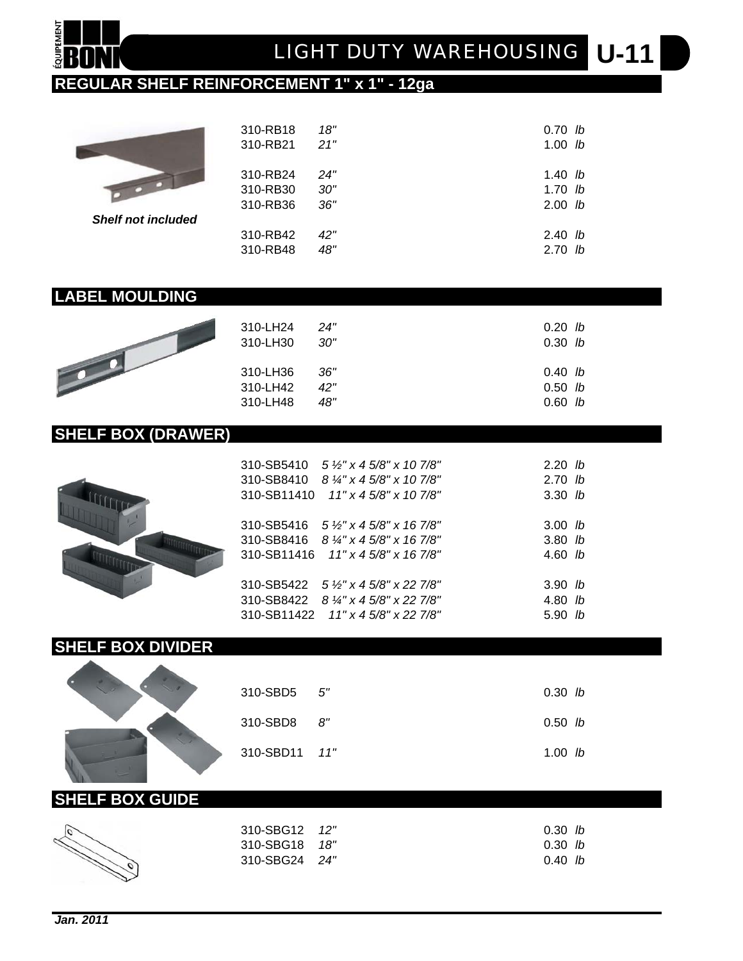

### **REGULAR SHELF REINFORCEMENT 1" x 1" - 12ga**

|          | 18"      | $0.70$ lb |
|----------|----------|-----------|
| 310-RB21 | 21"      | $1.00$ lb |
| 310-RB24 | 24"      | 1.40 $lb$ |
| 310-RB30 | 30"      | $1.70$ lb |
| 310-RB36 | 36"      | $2.00$ lb |
|          |          |           |
| 310-RB42 | 42"      | $2.40$ lb |
| 310-RB48 | 48"      | $2.70$ lb |
|          | 310-RB18 |           |

### **LABEL MOULDING**

| 310-LH24 | 24" | 0.20 <sub>h</sub> |
|----------|-----|-------------------|
| 310-LH30 | 30" | $0.30$ lb         |
| 310-LH36 | 36" | 0.40 <sub>h</sub> |
| 310-LH42 | 42" | 0.50 <sub>h</sub> |
| 310-LH48 | 48" | $0.60$ lb         |

### **SHELF BOX (DRAWER)**



| $310\text{-}SB5410$ $5\frac{1}{2}$ x 4 5/8" x 10 7/8"<br>310-SB8410 $8\frac{1}{4}$ " x 4 5/8" x 10 7/8"<br>$310-SB11410$ $11" \times 45/8" \times 107/8"$      | 2.20 <i>lb</i><br>2.70 <sub>h</sub><br>$3.30$ lb    |
|----------------------------------------------------------------------------------------------------------------------------------------------------------------|-----------------------------------------------------|
| $310\text{-}SB5416$ $5\frac{1}{2}$ x 4 5/8" x 16 7/8"<br>310-SB8416 $8\frac{1}{4}$ x 4 5/8" x 16 7/8"<br>$310\text{-}SB11416$ $11" \times 45/8" \times 167/8"$ | 3.00 <sub>h</sub><br>$3.80$ lb<br>4.60 <sub>h</sub> |
| $310\text{-}SB5422$ 5 %" x 4 5/8" x 22 7/8"<br>310-SB8422 $8\frac{1}{4}$ x 4 5/8" x 22 7/8"<br>$310\text{-}SB11422$ $11" \times 45/8" \times 227/8"$           | 3.90 <sub>h</sub><br>$4.80$ lb<br>5.90 <sub>h</sub> |

### **SHELF BOX DIVIDER**

| $310 - SBD5 5$    | 0.30 h    |  |
|-------------------|-----------|--|
| $310 - SBD8$ $8"$ | 0.50 h    |  |
| 310-SBD11 11"     | 1.00 $lb$ |  |

### **SHELF BOX GUIDE**

| 310-SBG12 12"      | 0.30 h |
|--------------------|--------|
| 310-SBG18<br>- 18" | 0.30 h |
| 310-SBG24 24"      | 0.40 h |
|                    |        |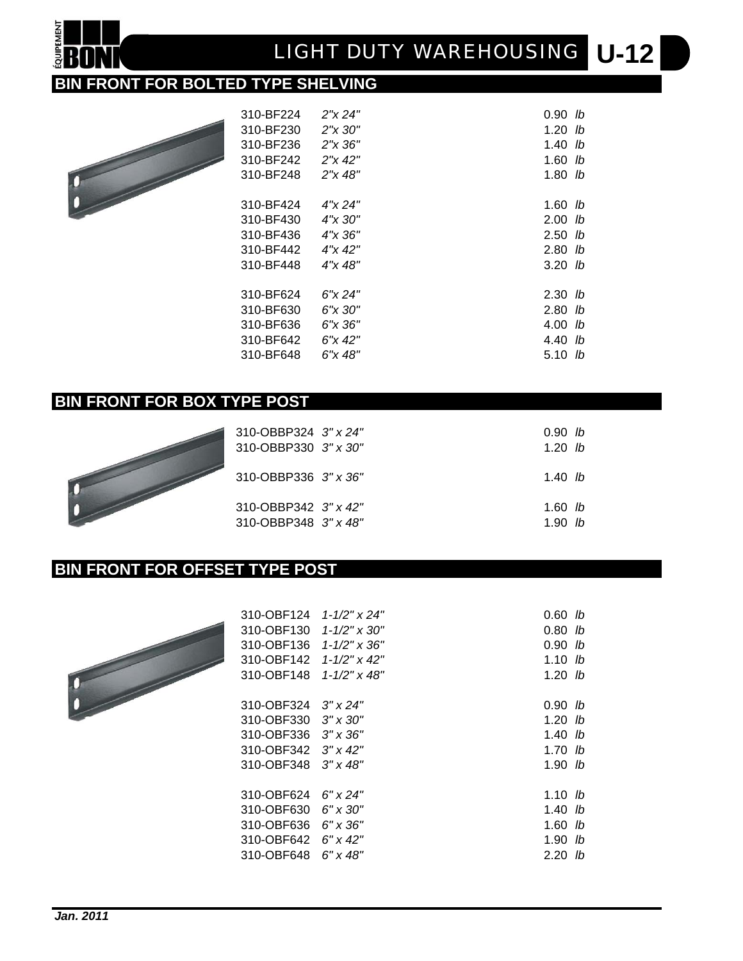# **U-12** *LIGHT DUTY WAREHOUSING*

### **BIN FRONT FOR BOLTED TYPE SHELVING**



**QUIPEMEN** 

| 310-BF224 | 2"x 24"      | 0.90 <sub>h</sub>  |  |
|-----------|--------------|--------------------|--|
| 310-BF230 | $2''x\,30''$ | $1.20$ lb          |  |
| 310-BF236 | 2''x 36''    | $1.40$ lb          |  |
| 310-BF242 | $2''$ x 42"  | $1.60$ lb          |  |
| 310-BF248 | 2"x 48"      | $1.80$ lb          |  |
|           |              |                    |  |
| 310-BF424 | 4''x 24"     | 1.60 $lb$          |  |
| 310-BF430 | 4"x 30"      | 2.00 <sub>h</sub>  |  |
| 310-BF436 | 4"x 36"      | $2.50$ lb          |  |
| 310-BF442 | 4"x 42"      | $2.80$ lb          |  |
| 310-BF448 | 4"x 48"      | 3.20 <sub>h</sub>  |  |
|           |              |                    |  |
| 310-BF624 | 6''x 24"     | 2.30 <sub>b</sub>  |  |
| 310-BF630 | 6"x 30"      | 2.80 <sub>h</sub>  |  |
| 310-BF636 | 6"x 36"      | 4.00 <sub>h</sub>  |  |
| 310-BF642 | $6''$ x 42"  | 4.40 <sub>lb</sub> |  |
| 310-BF648 | 6"x 48"      | 5.10 $lb$          |  |
|           |              |                    |  |

### **BIN FRONT FOR BOX TYPE POST**



| 310-OBBP324 3″ x 24″<br>310-OBBP330 3" x 30" | 0.90 h<br>1.20 <sub>h</sub> |  |
|----------------------------------------------|-----------------------------|--|
| 310-OBBP336 3" x 36"                         | 1.40 <i>lb</i>              |  |
| 310-OBBP342 3" x 42"<br>310-OBBP348 3" x 48" | $1.60$ lb<br>1.90 <i>lb</i> |  |

### **BIN FRONT FOR OFFSET TYPE POST**



| 310-OBF124 | $1 - 1/2" \times 24"$ | $0.60$ lb         |
|------------|-----------------------|-------------------|
| 310-OBF130 | 1-1/2" x 30"          | 0.80 <i>lb</i>    |
| 310-OBF136 | $1 - 1/2" \times 36"$ | 0.90<br>-lb       |
| 310-OBF142 | $1 - 1/2" \times 42"$ | 1.10<br>-lb       |
| 310-OBF148 | $1 - 1/2" \times 48"$ | 1.20 <sub>h</sub> |
|            |                       |                   |
| 310-OBF324 | $3''$ x 24"           | 0.90 <i>lb</i>    |
| 310-OBF330 | $3'' \times 30''$     | 1.20 <sub>h</sub> |
| 310-OBF336 | $3'' \times 36''$     | 1.40<br>-lb       |
| 310-OBF342 | $3'' \times 42''$     | 1.70 <sub>h</sub> |
| 310-OBF348 | $3''$ x 48"           | 1.90 <i>lb</i>    |
|            |                       |                   |
| 310-OBF624 | 6" x 24"              | 1.10 <i>lb</i>    |
| 310-OBF630 | 6" x 30"              | 1.40 <i>lb</i>    |
| 310-OBF636 | $6" \times 36"$       | 1.60<br>lb        |
| 310-OBF642 | 6" x 42"              | 1.90 <sub>h</sub> |
| 310-OBF648 | $6'' \times 48''$     | 2.20 <sub>h</sub> |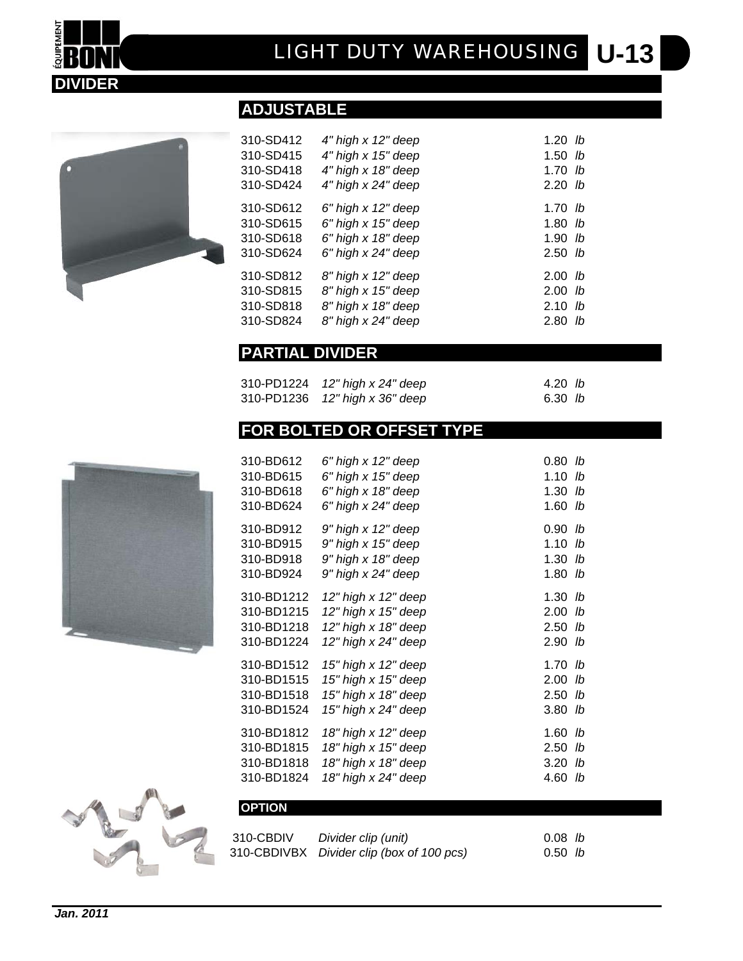# **U-13** *LIGHT DUTY WAREHOUSING*



**EQUIPEMENT** 

| 31 |
|----|
| 31 |
| 31 |
| 31 |
| 31 |
| 31 |
| 31 |
| 31 |
| 31 |
| 31 |
|    |

|  | <b>ADJUSTABLE</b> |  |  |
|--|-------------------|--|--|
|  |                   |  |  |

| 310-SD412 | 4" high x 12" deep | $1.20$ lb         |  |
|-----------|--------------------|-------------------|--|
| 310-SD415 | 4" high x 15" deep | $1.50$ lb         |  |
| 310-SD418 | 4" high x 18" deep | 1.70 <sub>h</sub> |  |
| 310-SD424 | 4" high x 24" deep | 2.20 <sub>h</sub> |  |
| 310-SD612 | 6" high x 12" deep | 1.70 <sub>h</sub> |  |
| 310-SD615 | 6" high x 15" deep | $1.80$ lb         |  |
| 310-SD618 | 6" high x 18" deep | 1.90 <sub>h</sub> |  |
| 310-SD624 | 6" high x 24" deep | $2.50$ lb         |  |
| 310-SD812 | 8" high x 12" deep | 2.00 <sub>h</sub> |  |
| 310-SD815 | 8" high x 15" deep | 2.00 <sub>h</sub> |  |
| 310-SD818 | 8" high x 18" deep | $2.10$ lb         |  |
| 310-SD824 | 8" high x 24" deep | $2.80$ lb         |  |
|           |                    |                   |  |

### **PARTIAL DIVIDER**

| 310-PD1224 12" high x 24" deep | 4.20 <i>lb</i> |  |
|--------------------------------|----------------|--|
| 310-PD1236 12" high x 36" deep | 6.30 $lb$      |  |

### **FOR BOLTED OR OFFSET TYPE**

| 310-BD612  | 6" high x 12" deep  | 0.80 | lb |
|------------|---------------------|------|----|
| 310-BD615  | 6" high x 15" deep  | 1.10 | lb |
| 310-BD618  | 6" high x 18" deep  | 1.30 | lb |
| 310-BD624  | 6" high x 24" deep  | 1.60 | lb |
| 310-BD912  | 9" high x 12" deep  | 0.90 | lb |
| 310-BD915  | 9" high x 15" deep  | 1.10 | lb |
| 310-BD918  | 9" high x 18" deep  | 1.30 | lb |
| 310-BD924  | 9" high x 24" deep  | 1.80 | lb |
| 310-BD1212 | 12" high x 12" deep | 1.30 | lb |
| 310-BD1215 | 12" high x 15" deep | 2.00 | lb |
| 310-BD1218 | 12" high x 18" deep | 2.50 | lb |
| 310-BD1224 | 12" high x 24" deep | 2.90 | lb |
| 310-BD1512 | 15" high x 12" deep | 1.70 | lb |
| 310-BD1515 | 15" high x 15" deep | 2.00 | lb |
| 310-BD1518 | 15" high x 18" deep | 2.50 | lb |
| 310-BD1524 | 15" high x 24" deep | 3.80 | lb |
| 310-BD1812 | 18" high x 12" deep | 1.60 | lb |
| 310-BD1815 | 18" high x 15" deep | 2.50 | lb |
| 310-BD1818 | 18" high x 18" deep | 3.20 | lb |
| 310-BD1824 | 18" high x 24" deep | 4.60 | lb |

310-CBDIV *Divider clip (unit)* 0.08 *lb* 310-CBDIVBX *Divider clip (box of 100 pcs)* 0.50 *lb*



| 310-CBDIV | Divider clip (unit)                       |
|-----------|-------------------------------------------|
|           | 310-CBDIVBX Divider clip (box of 100 pcs) |

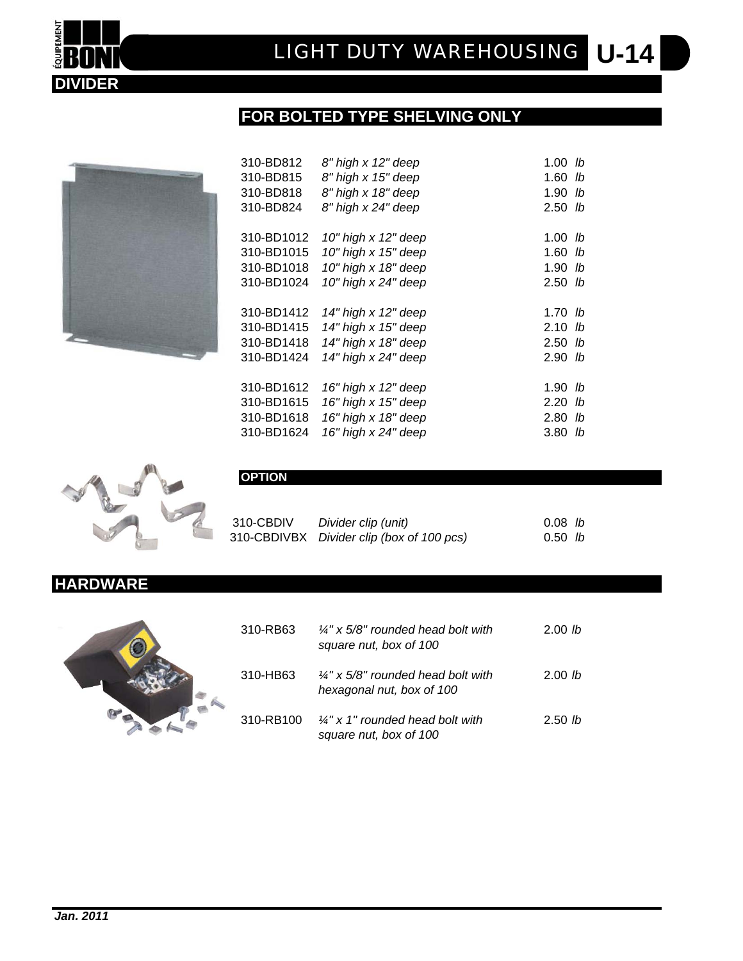

### **FOR BOLTED TYPE SHELVING ONLY**



| 310-BD812  | 8" high x 12" deep      | 1.00 $lb$         |
|------------|-------------------------|-------------------|
| 310-BD815  | 8" high x 15" deep      | $1.60$ lb         |
| 310-BD818  | 8" high x 18" deep      | 1.90 <sub>h</sub> |
| 310-BD824  | 8" high x 24" deep      | 2.50 <sub>h</sub> |
|            |                         |                   |
| 310-BD1012 | 10" high x 12" deep     | 1.00 $lb$         |
| 310-BD1015 | 10" high x 15" deep     | $1.60$ lb         |
| 310-BD1018 | 10" high x 18" deep     | 1.90 <sub>h</sub> |
| 310-BD1024 | 10" high x 24" deep     | 2.50 <sub>h</sub> |
|            |                         |                   |
| 310-BD1412 | 14" high x 12" deep     | 1.70 <sub>h</sub> |
| 310-BD1415 | $14"$ high x $15"$ deep | 2.10 <sub>h</sub> |
| 310-BD1418 | 14" high x 18" deep     | $2.50$ lb         |
| 310-BD1424 | 14" high x 24" deep     | 2.90 <sub>h</sub> |
|            |                         |                   |
| 310-BD1612 | 16" high x 12" deep     | 1.90<br>lb        |
| 310-BD1615 | 16" high x 15" deep     | 2.20<br>lb        |
| 310-BD1618 | 16" high x 18" deep     | 2.80 lb           |
| 310-BD1624 | 16" high x 24" deep     | 3.80<br>lb        |



### **OPTION**

| 310-CBDIV | Divider clip (unit)                       | $0.08$ lb         |  |
|-----------|-------------------------------------------|-------------------|--|
|           | 310-CBDIVBX Divider clip (box of 100 pcs) | 0.50 <sub>h</sub> |  |

### **HARDWARE**



| 310-RB63  | $\frac{1}{4}$ " x 5/8" rounded head bolt with<br>square nut, box of 100    | 2.00 lb           |
|-----------|----------------------------------------------------------------------------|-------------------|
| 310-HB63  | $\frac{1}{4}$ " x 5/8" rounded head bolt with<br>hexagonal nut, box of 100 | 2.00 lb           |
| 310-RB100 | $\frac{1}{4}$ " x 1" rounded head bolt with<br>square nut, box of 100      | 2.50 <sub>h</sub> |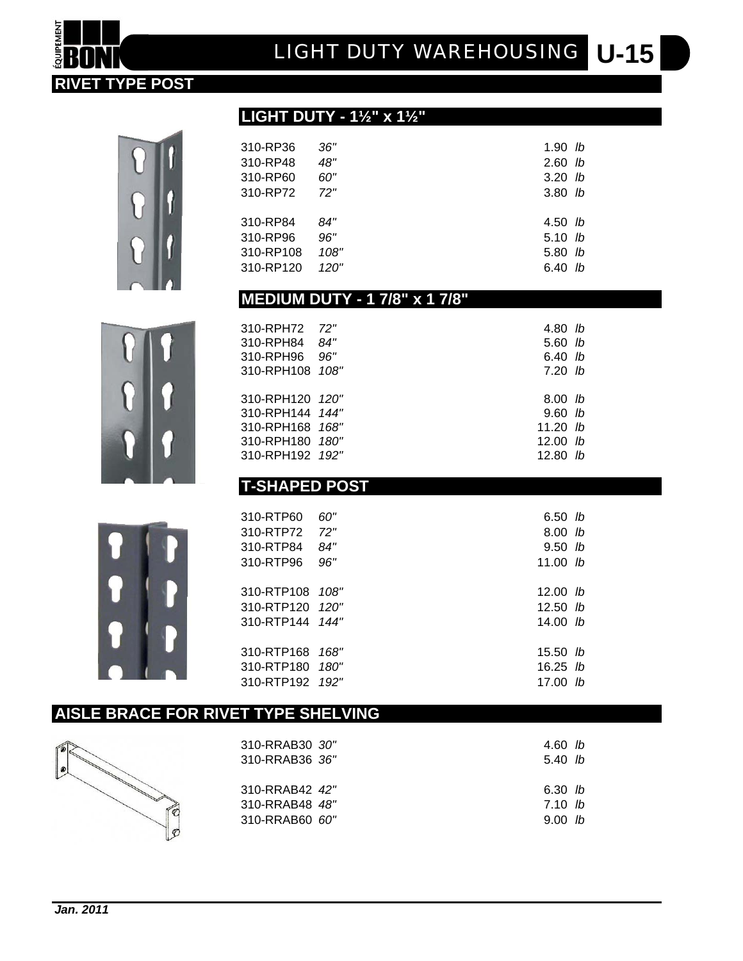### *Jan. 2011*

 $\overline{\bullet}$ 

| 310-RRAB30 30"<br>310-RRAB36 36" | 4.60 $lb$<br>5.40 h |     |
|----------------------------------|---------------------|-----|
| 310-RRAB42 42"                   | 6.30 <i>lb</i>      |     |
| 310-RRAB48 48"                   | 7.10 h              |     |
| 310-RRAB60 60"                   | 9.00                | -lh |

**AISLE BRACE FOR RIVET TYPE SHELVING**

 $\mathbb{C}$  $\sigma$ 

| T-SHAPED POST           |     |                   |  |  |
|-------------------------|-----|-------------------|--|--|
|                         |     |                   |  |  |
| 310-RTP60               | 60" | 6.50 $lb$         |  |  |
| 310-RTP72 72"           |     | 8.00 h            |  |  |
| 310-RTP84               | 84" | 9.50 <sub>h</sub> |  |  |
| 310-RTP96               | 96" | 11.00 $lb$        |  |  |
|                         |     |                   |  |  |
| 310-RTP108 <i>108"</i>  |     | 12.00 $lb$        |  |  |
| 310-RTP120 <i>120"</i>  |     | 12.50 $lb$        |  |  |
| 310-RTP144 <i>144</i> " |     | 14.00 $lb$        |  |  |
|                         |     |                   |  |  |
| 310-RTP168 168"         |     | $15.50$ <i>lb</i> |  |  |
| 310-RTP180 <i>180"</i>  |     | 16.25 $lb$        |  |  |
| 310-RTP192 <i>192"</i>  |     | 17.00 lb          |  |  |

### **T-SHAPED POST**

| 310-RPH72<br>310-RPH84<br>310-RPH96<br>310-RPH108 108"                                      | 72"<br>84"<br>96" | 4.80 lb<br>$5.60$ lb<br>6.40 h<br>7.20 h                                    |
|---------------------------------------------------------------------------------------------|-------------------|-----------------------------------------------------------------------------|
| 310-RPH120 120"<br>310-RPH144 144"<br>310-RPH168 168"<br>310-RPH180 180"<br>310-RPH192 192" |                   | 8.00 <sub>h</sub><br>$9.60$ lb<br>11.20 $lb$<br>12.00 $lb$<br>12.80<br>- Ih |

### **MEDIUM DUTY - 1 7/8" x 1 7/8"**

| 310-RP36  | 36"  | 1.90 <i>lb</i>    |  |
|-----------|------|-------------------|--|
| 310-RP48  | 48"  | $2.60$ lb         |  |
| 310-RP60  | 60"  | 3.20 <sub>h</sub> |  |
| 310-RP72  | 72"  | $3.80$ lb         |  |
| 310-RP84  | 84"  | 4.50 <sub>h</sub> |  |
| 310-RP96  | 96"  | 5.10 h            |  |
| 310-RP108 | 108" | 5.80 <sub>h</sub> |  |
| 310-RP120 | 120" | 6.40 <i>lb</i>    |  |

### **LIGHT DUTY - 1½" x 1½"**

# **U-15** *LIGHT DUTY WAREHOUSING*

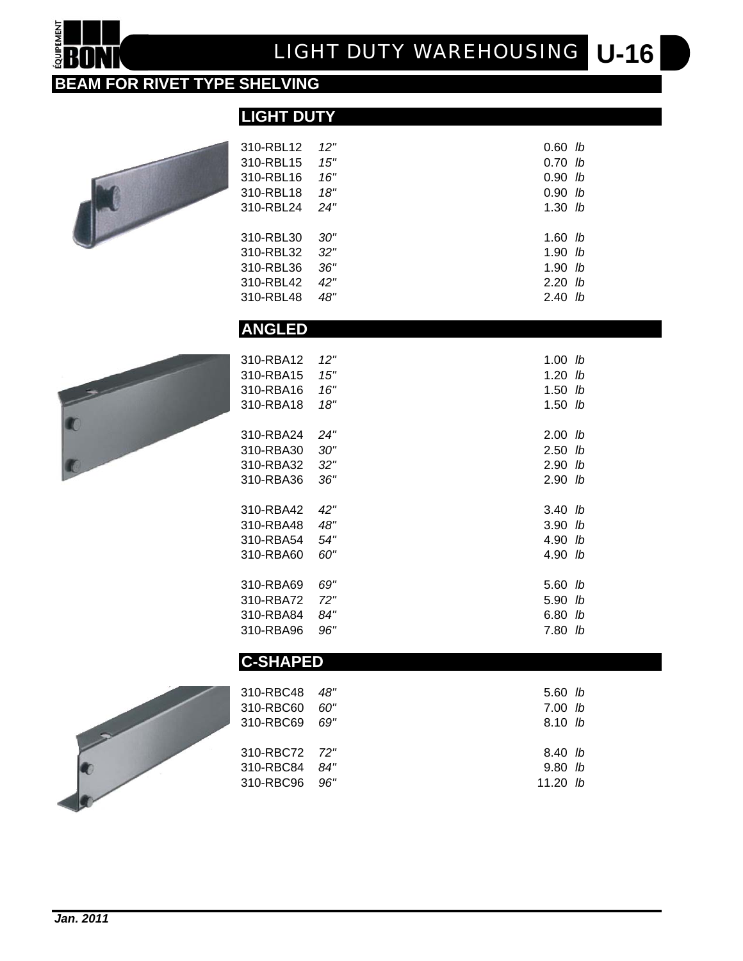# **U-16** *LIGHT DUTY WAREHOUSING*

### **BEAM FOR RIVET TYPE SHELVING**

**LIGHT DUTY**



**QUIPEMENT** 

| 310-RBL12       | 12" | $0.60$ lb |  |
|-----------------|-----|-----------|--|
| 310-RBL15       | 15" | $0.70$ lb |  |
| 310-RBL16       | 16" | $0.90$ lb |  |
| 310-RBL18       | 18" | $0.90$ lb |  |
| 310-RBL24       | 24" | $1.30$ lb |  |
| 310-RBL30       | 30" | $1.60$ lb |  |
| 310-RBL32       | 32" | $1.90$ lb |  |
| 310-RBL36       | 36" | $1.90$ lb |  |
| 310-RBL42       | 42" | $2.20$ lb |  |
| 310-RBL48       | 48" | $2.40$ lb |  |
| <b>ANGLED</b>   |     |           |  |
|                 |     |           |  |
| 310-RBA12       | 12" | $1.00$ lb |  |
| 310-RBA15       | 15" | $1.20$ lb |  |
| 310-RBA16       | 16" | $1.50$ lb |  |
| 310-RBA18       | 18" | $1.50$ lb |  |
| 310-RBA24       | 24" | $2.00$ lb |  |
| 310-RBA30       | 30" | $2.50$ lb |  |
| 310-RBA32       | 32" | $2.90$ lb |  |
| 310-RBA36       | 36" | $2.90$ lb |  |
| 310-RBA42       | 42" | $3.40$ lb |  |
| 310-RBA48       | 48" | $3.90$ lb |  |
| 310-RBA54       | 54" | 4.90 lb   |  |
| 310-RBA60       | 60" | 4.90 lb   |  |
|                 |     |           |  |
| 310-RBA69       | 69" | 5.60 lb   |  |
| 310-RBA72       | 72" | 5.90 lb   |  |
| 310-RBA84       | 84" | 6.80 lb   |  |
| 310-RBA96       | 96" | 7.80 lb   |  |
| <b>C-SHAPED</b> |     |           |  |
| 310-RBC48       | 48" | $5.60$ lb |  |
| 310-RRC60.      | הח  | 7 00 lh   |  |



| 310-RBC48 48" | 5.60 <sub>1b</sub> |  |
|---------------|--------------------|--|
| 310-RBC60 60" | 7.00 lb            |  |
| 310-RBC69 69" | 8.10 h             |  |
|               |                    |  |
| 310-RBC72 72" | 8.40 <sub>b</sub>  |  |
| 310-RBC84 84" | 9.80 <sub>b</sub>  |  |
| 310-RBC96 96" | 11.20 <i>lb</i>    |  |
|               |                    |  |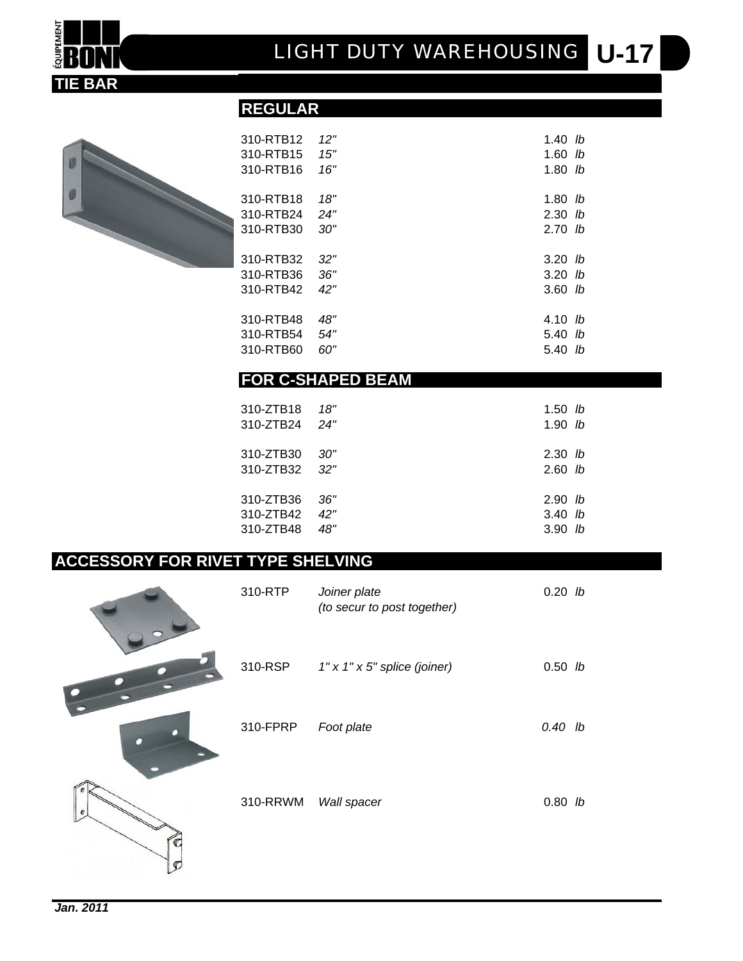

# 

| 310-RTB12 | 12" | 1.40 <i>lb</i>    |
|-----------|-----|-------------------|
| 310-RTB15 | 15" | $1.60$ lb         |
| 310-RTB16 | 16" | 1.80<br>- Ib      |
|           |     |                   |
| 310-RTB18 | 18" | 1.80<br>lb        |
| 310-RTB24 | 24" | $2.30$ lb         |
| 310-RTB30 | 30" | 2.70<br>lb        |
|           |     |                   |
| 310-RTB32 | 32" | 3.20 <sub>h</sub> |
| 310-RTB36 | 36" | 3.20<br>-lb       |
| 310-RTB42 | 42" | $3.60$ lb         |
|           |     |                   |
| 310-RTB48 | 48" | 4.10<br>lb        |
| 310-RTB54 | 54" | 5.40<br>lb        |
| 310-RTB60 | 60" | 5.40<br>lb        |
|           |     |                   |

### **FOR C-SHAPED BEAM**

**REGULAR**

| 310-ZTB18                  | 18" | 1.50 <sub>b</sub>      |  |
|----------------------------|-----|------------------------|--|
| 310-ZTB24                  | 24" | 1.90 <sub>h</sub>      |  |
| 310-ZTB30<br>310-ZTB32 32" | 30" | $2.30$ lb<br>$2.60$ lb |  |
| 310-ZTB36                  | 36″ | 2.90 <sub>h</sub>      |  |
| 310-ZTB42                  | 42" | $3.40$ lb              |  |
| 310-ZTB48                  | 48" | 3.90 <sub>h</sub>      |  |

### **ACCESSORY FOR RIVET TYPE SHELVING**

| 310-RTP  | Joiner plate<br>(to secur to post together) | $0.20$ lb |  |
|----------|---------------------------------------------|-----------|--|
| 310-RSP  | $1" \times 1" \times 5"$ splice (joiner)    | $0.50$ lb |  |
| 310-FPRP | Foot plate                                  | $0.40$ lb |  |
| 310-RRWM | Wall spacer                                 | $0.80$ lb |  |
|          |                                             |           |  |

 $\bullet$ 

 $\begin{bmatrix} 0 \\ 0 \end{bmatrix}$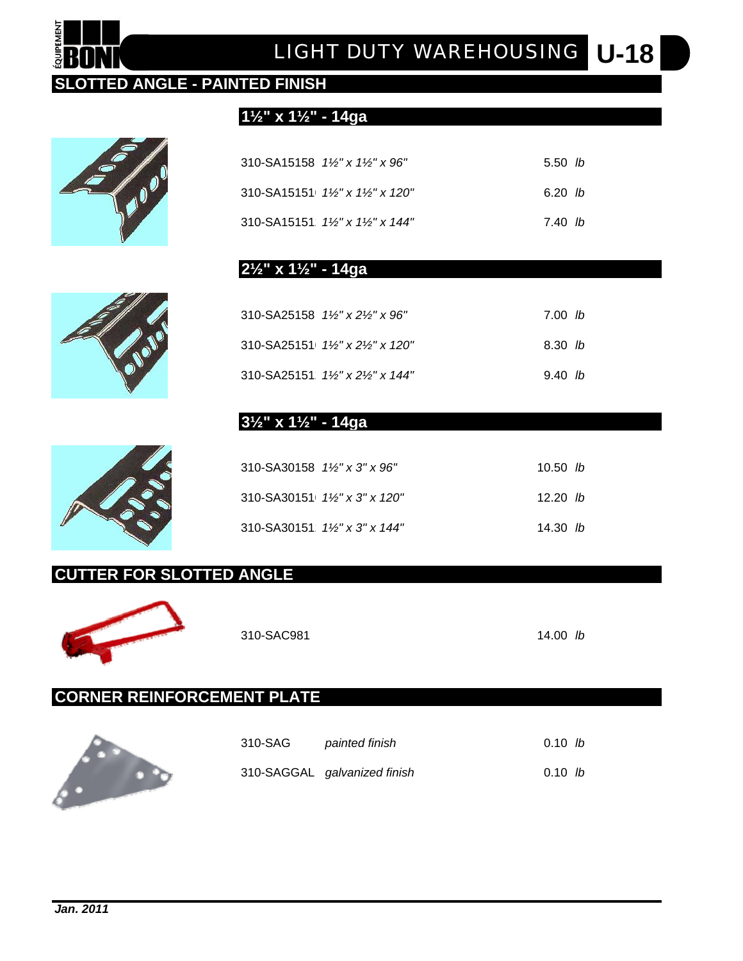# **U-18** *LIGHT DUTY WAREHOUSING*

### **SLOTTED ANGLE - PAINTED FINISH**



QUIPEMENT

|  | $310-SA15158$ $1\frac{1}{2}$ x $1\frac{1}{2}$ x 96"    | 5.50 <sub>h</sub> |  |
|--|--------------------------------------------------------|-------------------|--|
|  | $310-SA15151$ $1\frac{1}{2}$ x $1\frac{1}{2}$ x 120"   | 6.20 lb           |  |
|  | 310-SA15151 $1\frac{1}{2}$ " x $1\frac{1}{2}$ " x 144" | 7.40 lb           |  |

### **2½" x 1½" - 14ga**

**1½" x 1½" - 14ga**

| $310 - S_A 25158$ $1\frac{1}{3}$ x $2\frac{1}{3}$ x $96$ " | 7.00 lb |
|------------------------------------------------------------|---------|
| $310-SA25151$ $1\frac{1}{2}$ x $2\frac{1}{2}$ x 120"       | 8.30 lb |
| $310-SA25151$ $1\frac{1}{8}$ x $2\frac{1}{8}$ x $144$ "    | 9.40 h  |

### **3½" x 1½" - 14ga**

| $310-SA30158$ $1\frac{1}{8}$ x $3$ " x $96$ " | 10.50 $lb$ |
|-----------------------------------------------|------------|
| $310-SA30151$ $1\frac{1}{2}$ x 3" x 120"      | 12.20 $lb$ |
| 310-SA30151 $1\frac{1}{8}$ x 3" x 144"        | 14.30 $lb$ |

### **CUTTER FOR SLOTTED ANGLE**



310-SAC981 14.00 *lb*

### **CORNER REINFORCEMENT PLATE**



| 310-SAG | painted finish               | 0.10 h |  |
|---------|------------------------------|--------|--|
|         | 310-SAGGAL galvanized finish | 0.10 h |  |



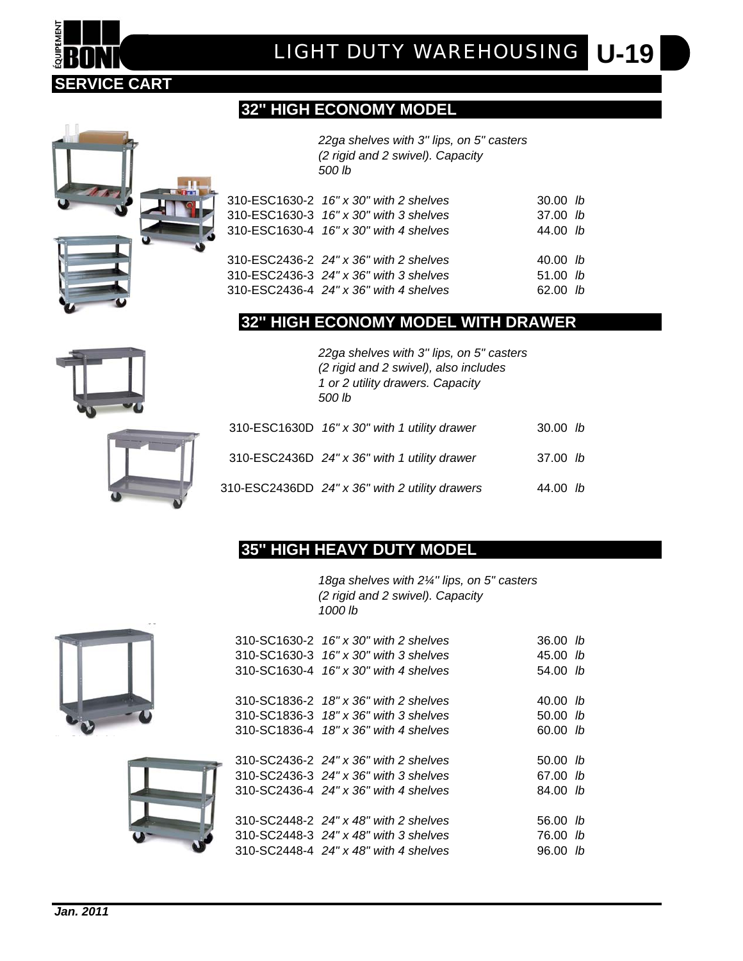### **32'' HIGH ECONOMY MODEL**

*22ga shelves with 3'' lips, on 5" casters (2 rigid and 2 swivel). Capacity 500 lb*

|  | 310-ESC1630-2 16" x 30" with 2 shelves<br>310-ESC1630-3 16" x 30" with 3 shelves<br>310-ESC1630-4 16" x 30" with 4 shelves | 30.00 h<br>$37.00$ lb<br>44.00 h |  |
|--|----------------------------------------------------------------------------------------------------------------------------|----------------------------------|--|
|  | 310-ESC2436-2 24" x 36" with 2 shelves<br>310-ESC2436-3 24" x 36" with 3 shelves<br>310-ESC2436-4 24" x 36" with 4 shelves | 40.00 h<br>$51.00$ lb<br>62.00 h |  |

### **32'' HIGH ECONOMY MODEL WITH DRAWER**

*22ga shelves with 3'' lips, on 5" casters (2 rigid and 2 swivel), also includes 1 or 2 utility drawers. Capacity 500 lb*

|  | 310-ESC1630D 16" x 30" with 1 utility drawer   | $30.00$ lb |  |
|--|------------------------------------------------|------------|--|
|  | 310-ESC2436D 24" x 36" with 1 utility drawer   | 37.00 h    |  |
|  | 310-ESC2436DD 24" x 36" with 2 utility drawers | 44.00 $lb$ |  |

### **35'' HIGH HEAVY DUTY MODEL**

*18ga shelves with 2¼'' lips, on 5" casters (2 rigid and 2 swivel). Capacity 1000 lb*

|  | 310-SC1630-2 16" x 30" with 2 shelves | 36.00           | lh. |
|--|---------------------------------------|-----------------|-----|
|  | 310-SC1630-3 16" x 30" with 3 shelves | 45.00           | lh. |
|  | 310-SC1630-4 16" x 30" with 4 shelves | 54.00           | lh  |
|  |                                       |                 |     |
|  | 310-SC1836-2 18" x 36" with 2 shelves | 40.00           | lb  |
|  | 310-SC1836-3 18" x 36" with 3 shelves | $50.00$ lb      |     |
|  | 310-SC1836-4 18" x 36" with 4 shelves | 60.00 b         |     |
|  |                                       |                 |     |
|  | 310-SC2436-2 24" x 36" with 2 shelves | 50.00           | lb. |
|  | 310-SC2436-3 24" x 36" with 3 shelves | 67.00 <i>lb</i> |     |
|  | 310-SC2436-4 24" x 36" with 4 shelves | 84.00 lb        |     |
|  |                                       |                 |     |
|  | 310-SC2448-2 24" x 48" with 2 shelves | 56.00           | lb  |
|  | 310-SC2448-3 24" x 48" with 3 shelves | 76.00           | lb  |
|  | 310-SC2448-4 24" x 48" with 4 shelves | 96.00           | lh  |



**SERVICE CART**